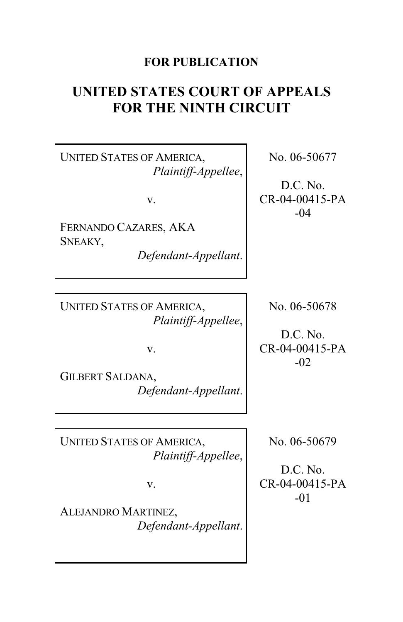## **FOR PUBLICATION**

# **UNITED STATES COURT OF APPEALS FOR THE NINTH CIRCUIT**

UNITED STATES OF AMERICA, *Plaintiff-Appellee*,

v.

FERNANDO CAZARES, AKA SNEAKY,

*Defendant-Appellant*.

UNITED STATES OF AMERICA, *Plaintiff-Appellee*,

v.

GILBERT SALDANA, *Defendant-Appellant*.

UNITED STATES OF AMERICA, *Plaintiff-Appellee*,

v.

ALEJANDRO MARTINEZ, *Defendant-Appellant*. No. 06-50677

D.C. No. CR-04-00415-PA -04

No. 06-50678

D.C. No. CR-04-00415-PA -02

No. 06-50679

D.C. No. CR-04-00415-PA -01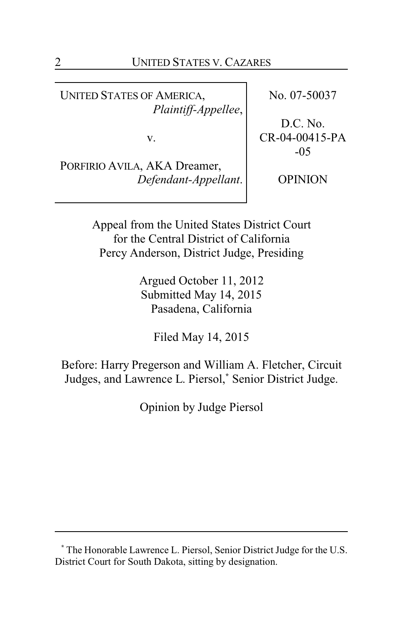UNITED STATES OF AMERICA, *Plaintiff-Appellee*,

v.

PORFIRIO AVILA, AKA Dreamer, *Defendant-Appellant*. No. 07-50037

D.C. No. CR-04-00415-PA -05

OPINION

Appeal from the United States District Court for the Central District of California Percy Anderson, District Judge, Presiding

> Argued October 11, 2012 Submitted May 14, 2015 Pasadena, California

> > Filed May 14, 2015

Before: Harry Pregerson and William A. Fletcher, Circuit Judges, and Lawrence L. Piersol,**\*** Senior District Judge.

Opinion by Judge Piersol

**<sup>\*</sup>** The Honorable Lawrence L. Piersol, Senior District Judge for the U.S. District Court for South Dakota, sitting by designation.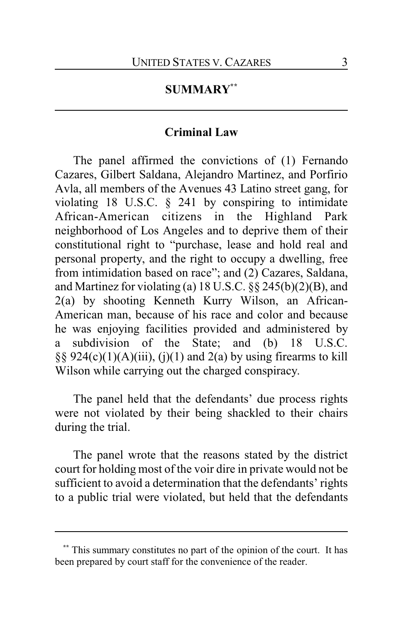### **SUMMARY\*\***

### **Criminal Law**

The panel affirmed the convictions of (1) Fernando Cazares, Gilbert Saldana, Alejandro Martinez, and Porfirio Avla, all members of the Avenues 43 Latino street gang, for violating 18 U.S.C. § 241 by conspiring to intimidate African-American citizens in the Highland Park neighborhood of Los Angeles and to deprive them of their constitutional right to "purchase, lease and hold real and personal property, and the right to occupy a dwelling, free from intimidation based on race"; and (2) Cazares, Saldana, and Martinez for violating (a)  $18$  U.S.C.  $\S$  $\S$   $245(b)(2)(B)$ , and 2(a) by shooting Kenneth Kurry Wilson, an African-American man, because of his race and color and because he was enjoying facilities provided and administered by a subdivision of the State; and (b) 18 U.S.C.  $\S$ § 924(c)(1)(A)(iii), (j)(1) and 2(a) by using firearms to kill Wilson while carrying out the charged conspiracy.

The panel held that the defendants' due process rights were not violated by their being shackled to their chairs during the trial.

The panel wrote that the reasons stated by the district court for holding most of the voir dire in private would not be sufficient to avoid a determination that the defendants' rights to a public trial were violated, but held that the defendants

This summary constitutes no part of the opinion of the court. It has been prepared by court staff for the convenience of the reader.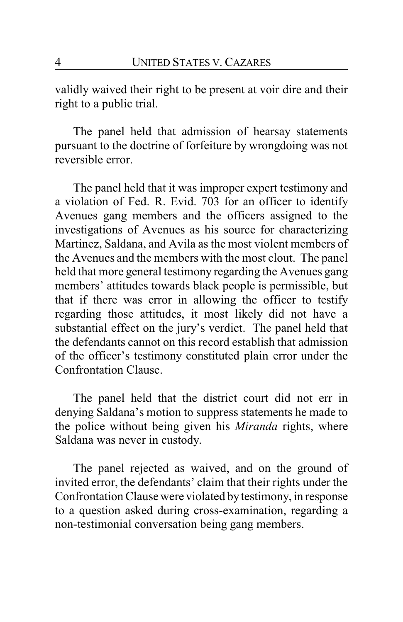validly waived their right to be present at voir dire and their right to a public trial.

The panel held that admission of hearsay statements pursuant to the doctrine of forfeiture by wrongdoing was not reversible error.

The panel held that it was improper expert testimony and a violation of Fed. R. Evid. 703 for an officer to identify Avenues gang members and the officers assigned to the investigations of Avenues as his source for characterizing Martinez, Saldana, and Avila as the most violent members of the Avenues and the members with the most clout. The panel held that more general testimony regarding the Avenues gang members' attitudes towards black people is permissible, but that if there was error in allowing the officer to testify regarding those attitudes, it most likely did not have a substantial effect on the jury's verdict. The panel held that the defendants cannot on this record establish that admission of the officer's testimony constituted plain error under the Confrontation Clause.

The panel held that the district court did not err in denying Saldana's motion to suppress statements he made to the police without being given his *Miranda* rights, where Saldana was never in custody.

The panel rejected as waived, and on the ground of invited error, the defendants' claim that their rights under the Confrontation Clause were violated bytestimony, in response to a question asked during cross-examination, regarding a non-testimonial conversation being gang members.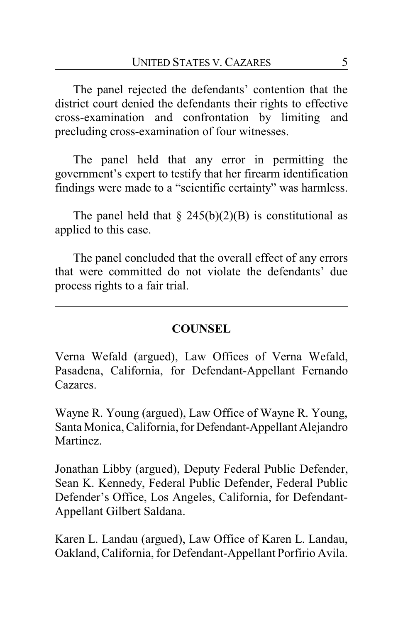The panel rejected the defendants' contention that the district court denied the defendants their rights to effective cross-examination and confrontation by limiting and precluding cross-examination of four witnesses.

The panel held that any error in permitting the government's expert to testify that her firearm identification findings were made to a "scientific certainty" was harmless.

The panel held that  $\S$  245(b)(2)(B) is constitutional as applied to this case.

The panel concluded that the overall effect of any errors that were committed do not violate the defendants' due process rights to a fair trial.

## **COUNSEL**

Verna Wefald (argued), Law Offices of Verna Wefald, Pasadena, California, for Defendant-Appellant Fernando Cazares.

Wayne R. Young (argued), Law Office of Wayne R. Young, Santa Monica, California, for Defendant-Appellant Alejandro Martinez.

Jonathan Libby (argued), Deputy Federal Public Defender, Sean K. Kennedy, Federal Public Defender, Federal Public Defender's Office, Los Angeles, California, for Defendant-Appellant Gilbert Saldana.

Karen L. Landau (argued), Law Office of Karen L. Landau, Oakland, California, for Defendant-Appellant Porfirio Avila.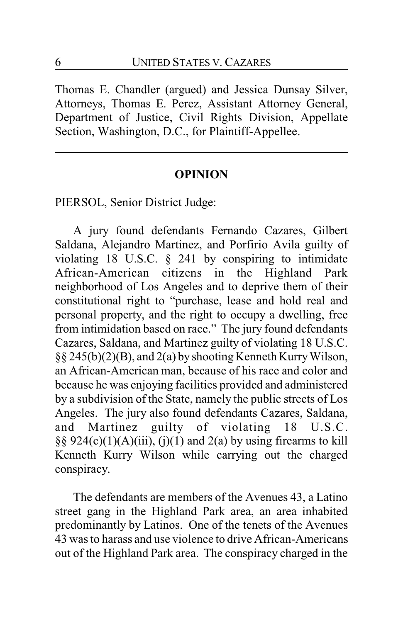Thomas E. Chandler (argued) and Jessica Dunsay Silver, Attorneys, Thomas E. Perez, Assistant Attorney General, Department of Justice, Civil Rights Division, Appellate Section, Washington, D.C., for Plaintiff-Appellee.

#### **OPINION**

PIERSOL, Senior District Judge:

A jury found defendants Fernando Cazares, Gilbert Saldana, Alejandro Martinez, and Porfirio Avila guilty of violating 18 U.S.C. § 241 by conspiring to intimidate African-American citizens in the Highland Park neighborhood of Los Angeles and to deprive them of their constitutional right to "purchase, lease and hold real and personal property, and the right to occupy a dwelling, free from intimidation based on race." The jury found defendants Cazares, Saldana, and Martinez guilty of violating 18 U.S.C. §§ 245(b)(2)(B), and 2(a) by shooting Kenneth KurryWilson, an African-American man, because of his race and color and because he was enjoying facilities provided and administered by a subdivision of the State, namely the public streets of Los Angeles. The jury also found defendants Cazares, Saldana, and Martinez guilty of violating 18 U.S.C. §§ 924(c)(1)(A)(iii), (j)(1) and 2(a) by using firearms to kill Kenneth Kurry Wilson while carrying out the charged conspiracy.

The defendants are members of the Avenues 43, a Latino street gang in the Highland Park area, an area inhabited predominantly by Latinos. One of the tenets of the Avenues 43 was to harass and use violence to drive African-Americans out of the Highland Park area. The conspiracy charged in the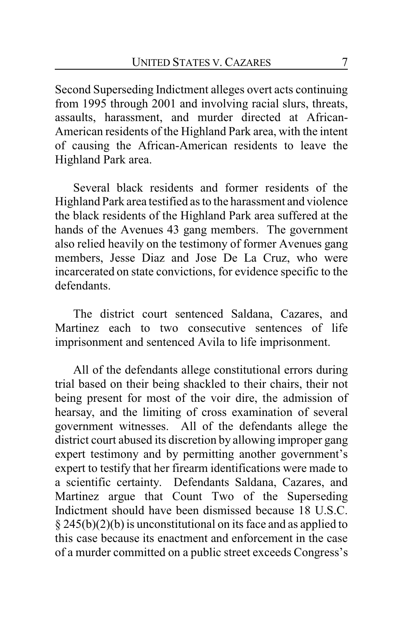Second Superseding Indictment alleges overt acts continuing from 1995 through 2001 and involving racial slurs, threats, assaults, harassment, and murder directed at African-American residents of the Highland Park area, with the intent of causing the African-American residents to leave the Highland Park area.

Several black residents and former residents of the Highland Park area testified as to the harassment and violence the black residents of the Highland Park area suffered at the hands of the Avenues 43 gang members. The government also relied heavily on the testimony of former Avenues gang members, Jesse Diaz and Jose De La Cruz, who were incarcerated on state convictions, for evidence specific to the defendants.

The district court sentenced Saldana, Cazares, and Martinez each to two consecutive sentences of life imprisonment and sentenced Avila to life imprisonment.

All of the defendants allege constitutional errors during trial based on their being shackled to their chairs, their not being present for most of the voir dire, the admission of hearsay, and the limiting of cross examination of several government witnesses. All of the defendants allege the district court abused its discretion by allowing improper gang expert testimony and by permitting another government's expert to testify that her firearm identifications were made to a scientific certainty. Defendants Saldana, Cazares, and Martinez argue that Count Two of the Superseding Indictment should have been dismissed because 18 U.S.C. § 245(b)(2)(b) is unconstitutional on its face and as applied to this case because its enactment and enforcement in the case of a murder committed on a public street exceeds Congress's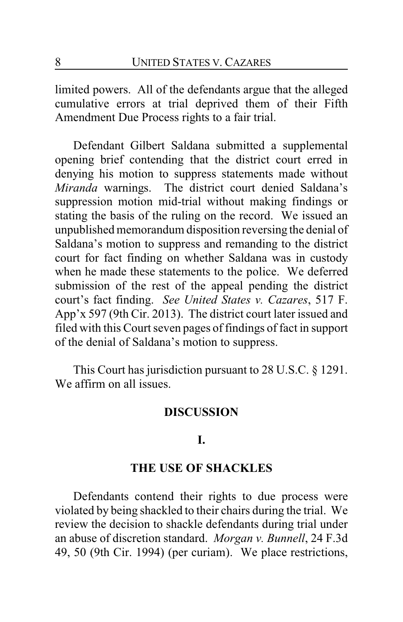limited powers. All of the defendants argue that the alleged cumulative errors at trial deprived them of their Fifth Amendment Due Process rights to a fair trial.

Defendant Gilbert Saldana submitted a supplemental opening brief contending that the district court erred in denying his motion to suppress statements made without *Miranda* warnings. The district court denied Saldana's suppression motion mid-trial without making findings or stating the basis of the ruling on the record. We issued an unpublished memorandum disposition reversing the denial of Saldana's motion to suppress and remanding to the district court for fact finding on whether Saldana was in custody when he made these statements to the police. We deferred submission of the rest of the appeal pending the district court's fact finding. *See United States v. Cazares*, 517 F. App'x 597 (9th Cir. 2013). The district court later issued and filed with this Court seven pages of findings of fact in support of the denial of Saldana's motion to suppress.

This Court has jurisdiction pursuant to 28 U.S.C. § 1291. We affirm on all issues.

#### **DISCUSSION**

#### **I.**

### **THE USE OF SHACKLES**

Defendants contend their rights to due process were violated by being shackled to their chairs during the trial. We review the decision to shackle defendants during trial under an abuse of discretion standard. *Morgan v. Bunnell*, 24 F.3d 49, 50 (9th Cir. 1994) (per curiam). We place restrictions,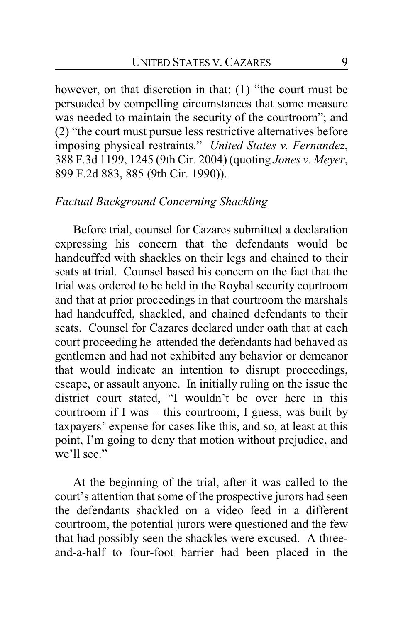however, on that discretion in that: (1) "the court must be persuaded by compelling circumstances that some measure was needed to maintain the security of the courtroom"; and (2) "the court must pursue less restrictive alternatives before imposing physical restraints." *United States v. Fernandez*, 388 F.3d 1199, 1245 (9th Cir. 2004) (quoting *Jones v. Meyer*, 899 F.2d 883, 885 (9th Cir. 1990)).

#### *Factual Background Concerning Shackling*

Before trial, counsel for Cazares submitted a declaration expressing his concern that the defendants would be handcuffed with shackles on their legs and chained to their seats at trial. Counsel based his concern on the fact that the trial was ordered to be held in the Roybal security courtroom and that at prior proceedings in that courtroom the marshals had handcuffed, shackled, and chained defendants to their seats. Counsel for Cazares declared under oath that at each court proceeding he attended the defendants had behaved as gentlemen and had not exhibited any behavior or demeanor that would indicate an intention to disrupt proceedings, escape, or assault anyone. In initially ruling on the issue the district court stated, "I wouldn't be over here in this courtroom if I was – this courtroom, I guess, was built by taxpayers' expense for cases like this, and so, at least at this point, I'm going to deny that motion without prejudice, and we'll see."

At the beginning of the trial, after it was called to the court's attention that some of the prospective jurors had seen the defendants shackled on a video feed in a different courtroom, the potential jurors were questioned and the few that had possibly seen the shackles were excused. A threeand-a-half to four-foot barrier had been placed in the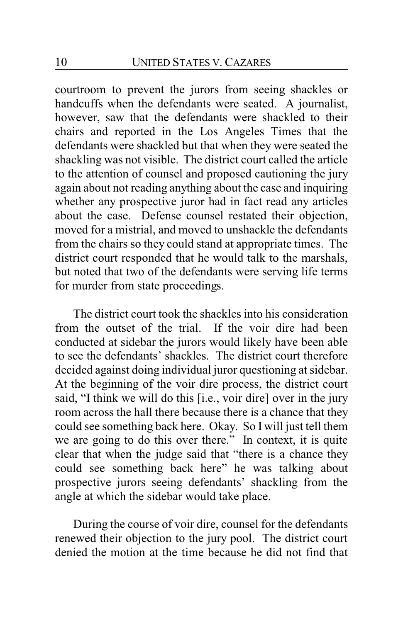courtroom to prevent the jurors from seeing shackles or handcuffs when the defendants were seated. A journalist, however, saw that the defendants were shackled to their chairs and reported in the Los Angeles Times that the defendants were shackled but that when they were seated the shackling was not visible. The district court called the article to the attention of counsel and proposed cautioning the jury again about not reading anything about the case and inquiring whether any prospective juror had in fact read any articles about the case. Defense counsel restated their objection, moved for a mistrial, and moved to unshackle the defendants from the chairs so they could stand at appropriate times. The district court responded that he would talk to the marshals, but noted that two of the defendants were serving life terms for murder from state proceedings.

The district court took the shackles into his consideration from the outset of the trial. If the voir dire had been conducted at sidebar the jurors would likely have been able to see the defendants' shackles. The district court therefore decided against doing individual juror questioning at sidebar. At the beginning of the voir dire process, the district court said, "I think we will do this [i.e., voir dire] over in the jury room across the hall there because there is a chance that they could see something back here. Okay. So I will just tell them we are going to do this over there." In context, it is quite clear that when the judge said that "there is a chance they could see something back here" he was talking about prospective jurors seeing defendants' shackling from the angle at which the sidebar would take place.

During the course of voir dire, counsel for the defendants renewed their objection to the jury pool. The district court denied the motion at the time because he did not find that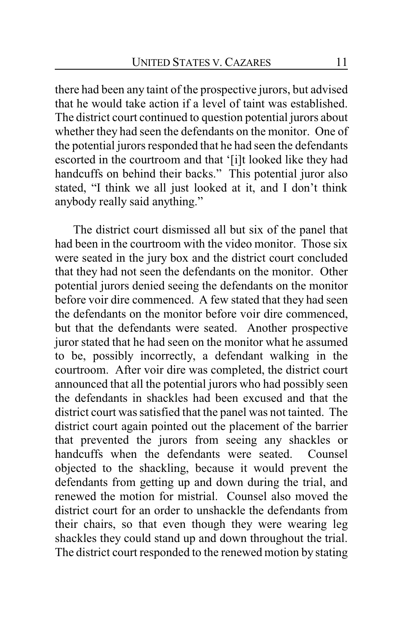there had been any taint of the prospective jurors, but advised that he would take action if a level of taint was established. The district court continued to question potential jurors about whether they had seen the defendants on the monitor. One of the potential jurors responded that he had seen the defendants escorted in the courtroom and that '[i]t looked like they had handcuffs on behind their backs." This potential juror also stated, "I think we all just looked at it, and I don't think anybody really said anything."

The district court dismissed all but six of the panel that had been in the courtroom with the video monitor. Those six were seated in the jury box and the district court concluded that they had not seen the defendants on the monitor. Other potential jurors denied seeing the defendants on the monitor before voir dire commenced. A few stated that they had seen the defendants on the monitor before voir dire commenced, but that the defendants were seated. Another prospective juror stated that he had seen on the monitor what he assumed to be, possibly incorrectly, a defendant walking in the courtroom. After voir dire was completed, the district court announced that all the potential jurors who had possibly seen the defendants in shackles had been excused and that the district court was satisfied that the panel was not tainted. The district court again pointed out the placement of the barrier that prevented the jurors from seeing any shackles or handcuffs when the defendants were seated. Counsel objected to the shackling, because it would prevent the defendants from getting up and down during the trial, and renewed the motion for mistrial. Counsel also moved the district court for an order to unshackle the defendants from their chairs, so that even though they were wearing leg shackles they could stand up and down throughout the trial. The district court responded to the renewed motion by stating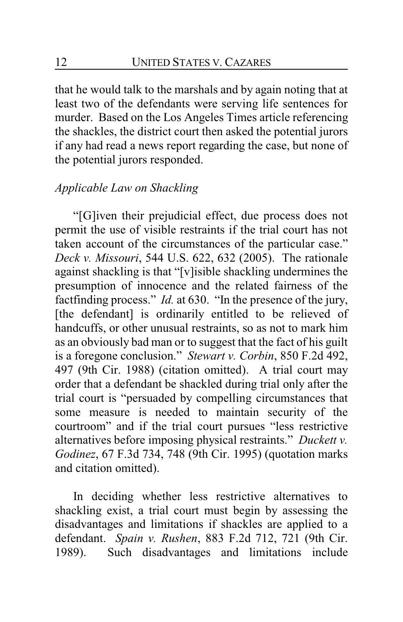that he would talk to the marshals and by again noting that at least two of the defendants were serving life sentences for murder. Based on the Los Angeles Times article referencing the shackles, the district court then asked the potential jurors if any had read a news report regarding the case, but none of the potential jurors responded.

#### *Applicable Law on Shackling*

"[G]iven their prejudicial effect, due process does not permit the use of visible restraints if the trial court has not taken account of the circumstances of the particular case." *Deck v. Missouri*, 544 U.S. 622, 632 (2005). The rationale against shackling is that "[v]isible shackling undermines the presumption of innocence and the related fairness of the factfinding process." *Id.* at 630. "In the presence of the jury, [the defendant] is ordinarily entitled to be relieved of handcuffs, or other unusual restraints, so as not to mark him as an obviously bad man or to suggest that the fact of his guilt is a foregone conclusion." *Stewart v. Corbin*, 850 F.2d 492, 497 (9th Cir. 1988) (citation omitted). A trial court may order that a defendant be shackled during trial only after the trial court is "persuaded by compelling circumstances that some measure is needed to maintain security of the courtroom" and if the trial court pursues "less restrictive alternatives before imposing physical restraints." *Duckett v. Godinez*, 67 F.3d 734, 748 (9th Cir. 1995) (quotation marks and citation omitted).

In deciding whether less restrictive alternatives to shackling exist, a trial court must begin by assessing the disadvantages and limitations if shackles are applied to a defendant. *Spain v. Rushen*, 883 F.2d 712, 721 (9th Cir. 1989). Such disadvantages and limitations include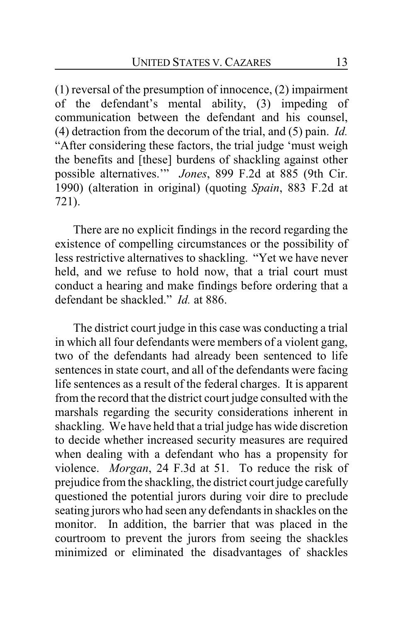(1) reversal of the presumption of innocence, (2) impairment of the defendant's mental ability, (3) impeding of communication between the defendant and his counsel, (4) detraction from the decorum of the trial, and (5) pain. *Id.*  "After considering these factors, the trial judge 'must weigh the benefits and [these] burdens of shackling against other possible alternatives.'" *Jones*, 899 F.2d at 885 (9th Cir. 1990) (alteration in original) (quoting *Spain*, 883 F.2d at 721).

There are no explicit findings in the record regarding the existence of compelling circumstances or the possibility of less restrictive alternatives to shackling. "Yet we have never held, and we refuse to hold now, that a trial court must conduct a hearing and make findings before ordering that a defendant be shackled." *Id.* at 886.

The district court judge in this case was conducting a trial in which all four defendants were members of a violent gang, two of the defendants had already been sentenced to life sentences in state court, and all of the defendants were facing life sentences as a result of the federal charges. It is apparent from the record that the district court judge consulted with the marshals regarding the security considerations inherent in shackling. We have held that a trial judge has wide discretion to decide whether increased security measures are required when dealing with a defendant who has a propensity for violence. *Morgan*, 24 F.3d at 51. To reduce the risk of prejudice from the shackling, the district court judge carefully questioned the potential jurors during voir dire to preclude seating jurors who had seen any defendants in shackles on the monitor. In addition, the barrier that was placed in the courtroom to prevent the jurors from seeing the shackles minimized or eliminated the disadvantages of shackles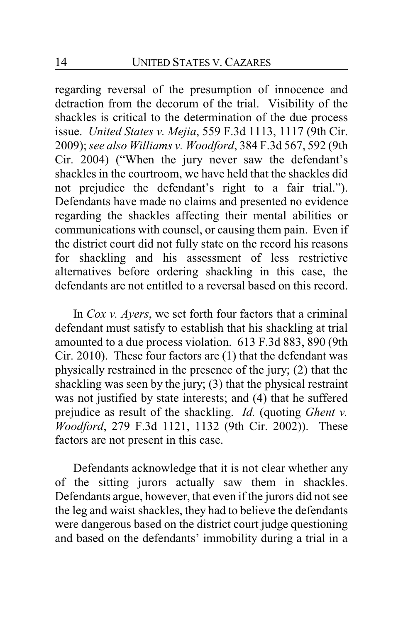regarding reversal of the presumption of innocence and detraction from the decorum of the trial. Visibility of the shackles is critical to the determination of the due process issue. *United States v. Mejia*, 559 F.3d 1113, 1117 (9th Cir. 2009); *see also Williams v. Woodford*, 384 F.3d 567, 592 (9th Cir. 2004) ("When the jury never saw the defendant's shackles in the courtroom, we have held that the shackles did not prejudice the defendant's right to a fair trial."). Defendants have made no claims and presented no evidence regarding the shackles affecting their mental abilities or communications with counsel, or causing them pain. Even if the district court did not fully state on the record his reasons for shackling and his assessment of less restrictive alternatives before ordering shackling in this case, the defendants are not entitled to a reversal based on this record.

In *Cox v. Ayers*, we set forth four factors that a criminal defendant must satisfy to establish that his shackling at trial amounted to a due process violation. 613 F.3d 883, 890 (9th Cir. 2010). These four factors are (1) that the defendant was physically restrained in the presence of the jury; (2) that the shackling was seen by the jury; (3) that the physical restraint was not justified by state interests; and (4) that he suffered prejudice as result of the shackling. *Id.* (quoting *Ghent v. Woodford*, 279 F.3d 1121, 1132 (9th Cir. 2002)). These factors are not present in this case.

Defendants acknowledge that it is not clear whether any of the sitting jurors actually saw them in shackles. Defendants argue, however, that even if the jurors did not see the leg and waist shackles, they had to believe the defendants were dangerous based on the district court judge questioning and based on the defendants' immobility during a trial in a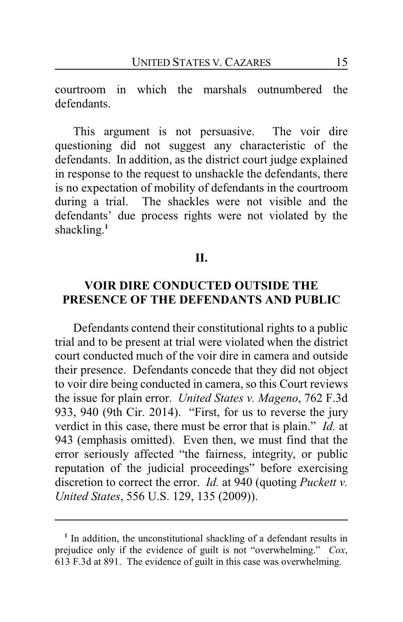courtroom in which the marshals outnumbered the defendants.

This argument is not persuasive. The voir dire questioning did not suggest any characteristic of the defendants. In addition, as the district court judge explained in response to the request to unshackle the defendants, there is no expectation of mobility of defendants in the courtroom during a trial. The shackles were not visible and the defendants' due process rights were not violated by the shackling. **1**

#### **II.**

## **VOIR DIRE CONDUCTED OUTSIDE THE PRESENCE OF THE DEFENDANTS AND PUBLIC**

Defendants contend their constitutional rights to a public trial and to be present at trial were violated when the district court conducted much of the voir dire in camera and outside their presence. Defendants concede that they did not object to voir dire being conducted in camera, so this Court reviews the issue for plain error. *United States v. Mageno*, 762 F.3d 933, 940 (9th Cir. 2014). "First, for us to reverse the jury verdict in this case, there must be error that is plain." *Id.* at 943 (emphasis omitted). Even then, we must find that the error seriously affected "the fairness, integrity, or public reputation of the judicial proceedings" before exercising discretion to correct the error. *Id.* at 940 (quoting *Puckett v. United States*, 556 U.S. 129, 135 (2009)).

<sup>&</sup>lt;sup>1</sup> In addition, the unconstitutional shackling of a defendant results in prejudice only if the evidence of guilt is not "overwhelming." *Cox*, 613 F.3d at 891. The evidence of guilt in this case was overwhelming.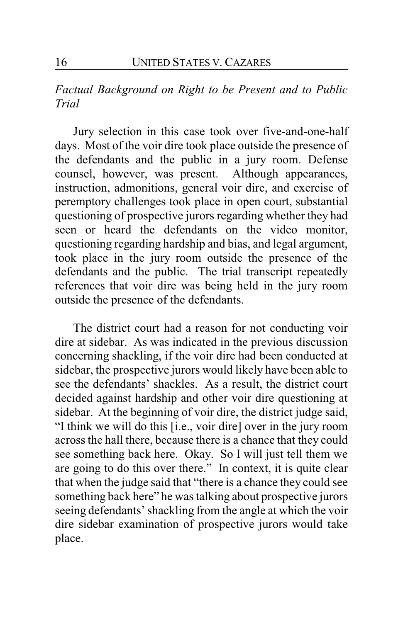*Factual Background on Right to be Present and to Public Trial*

Jury selection in this case took over five-and-one-half days. Most of the voir dire took place outside the presence of the defendants and the public in a jury room. Defense counsel, however, was present. Although appearances, instruction, admonitions, general voir dire, and exercise of peremptory challenges took place in open court, substantial questioning of prospective jurors regarding whether they had seen or heard the defendants on the video monitor, questioning regarding hardship and bias, and legal argument, took place in the jury room outside the presence of the defendants and the public. The trial transcript repeatedly references that voir dire was being held in the jury room outside the presence of the defendants.

The district court had a reason for not conducting voir dire at sidebar. As was indicated in the previous discussion concerning shackling, if the voir dire had been conducted at sidebar, the prospective jurors would likely have been able to see the defendants' shackles. As a result, the district court decided against hardship and other voir dire questioning at sidebar. At the beginning of voir dire, the district judge said, "I think we will do this [i.e., voir dire] over in the jury room across the hall there, because there is a chance that they could see something back here. Okay. So I will just tell them we are going to do this over there." In context, it is quite clear that when the judge said that "there is a chance they could see something back here" he was talking about prospective jurors seeing defendants' shackling from the angle at which the voir dire sidebar examination of prospective jurors would take place.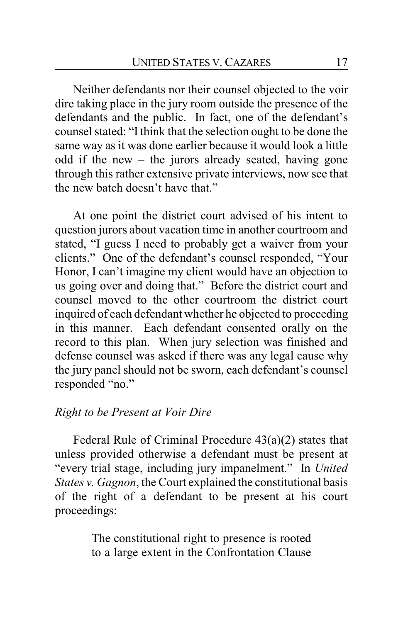Neither defendants nor their counsel objected to the voir dire taking place in the jury room outside the presence of the defendants and the public. In fact, one of the defendant's counsel stated: "Ithink that the selection ought to be done the same way as it was done earlier because it would look a little odd if the new – the jurors already seated, having gone through this rather extensive private interviews, now see that the new batch doesn't have that."

At one point the district court advised of his intent to question jurors about vacation time in another courtroom and stated, "I guess I need to probably get a waiver from your clients." One of the defendant's counsel responded, "Your Honor, I can't imagine my client would have an objection to us going over and doing that." Before the district court and counsel moved to the other courtroom the district court inquired of each defendant whether he objected to proceeding in this manner. Each defendant consented orally on the record to this plan. When jury selection was finished and defense counsel was asked if there was any legal cause why the jury panel should not be sworn, each defendant's counsel responded "no."

### *Right to be Present at Voir Dire*

Federal Rule of Criminal Procedure  $43(a)(2)$  states that unless provided otherwise a defendant must be present at "every trial stage, including jury impanelment." In *United States v. Gagnon*, the Court explained the constitutional basis of the right of a defendant to be present at his court proceedings:

> The constitutional right to presence is rooted to a large extent in the Confrontation Clause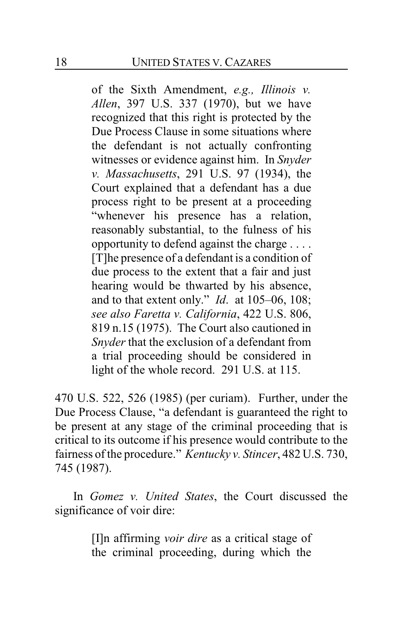of the Sixth Amendment, *e.g., Illinois v. Allen*, 397 U.S. 337 (1970), but we have recognized that this right is protected by the Due Process Clause in some situations where the defendant is not actually confronting witnesses or evidence against him. In *Snyder v. Massachusetts*, 291 U.S. 97 (1934), the Court explained that a defendant has a due process right to be present at a proceeding "whenever his presence has a relation, reasonably substantial, to the fulness of his opportunity to defend against the charge . . . . [T]he presence of a defendant is a condition of due process to the extent that a fair and just hearing would be thwarted by his absence, and to that extent only." *Id*. at 105–06, 108; *see also Faretta v. California*, 422 U.S. 806, 819 n.15 (1975). The Court also cautioned in *Snyder* that the exclusion of a defendant from a trial proceeding should be considered in light of the whole record. 291 U.S. at 115.

470 U.S. 522, 526 (1985) (per curiam). Further, under the Due Process Clause, "a defendant is guaranteed the right to be present at any stage of the criminal proceeding that is critical to its outcome if his presence would contribute to the fairness of the procedure." *Kentucky v. Stincer*, 482 U.S. 730, 745 (1987).

In *Gomez v. United States*, the Court discussed the significance of voir dire:

> [I]n affirming *voir dire* as a critical stage of the criminal proceeding, during which the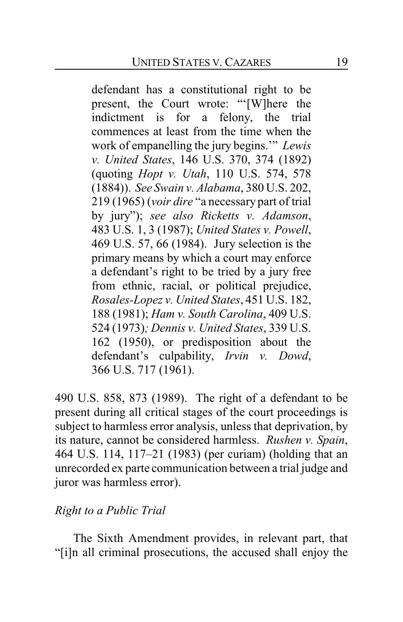defendant has a constitutional right to be present, the Court wrote: "'[W]here the indictment is for a felony, the trial commences at least from the time when the work of empanelling the jury begins.'" *Lewis v. United States*, 146 U.S. 370, 374 (1892) (quoting *Hopt v. Utah*, 110 U.S. 574, 578 (1884)). *See Swain v. Alabama*, 380 U.S. 202, 219 (1965) (*voir dire* "a necessary part of trial by jury"); *see also Ricketts v. Adamson*, 483 U.S. 1, 3 (1987); *United States v. Powell*, 469 U.S. 57, 66 (1984). Jury selection is the primary means by which a court may enforce a defendant's right to be tried by a jury free from ethnic, racial, or political prejudice, *Rosales-Lopez v. United States*, 451 U.S. 182, 188 (1981); *Ham v. South Carolina*, 409 U.S. 524 (1973)*; Dennis v. United States*, 339 U.S. 162 (1950), or predisposition about the defendant's culpability, *Irvin v. Dowd*, 366 U.S. 717 (1961).

490 U.S. 858, 873 (1989). The right of a defendant to be present during all critical stages of the court proceedings is subject to harmless error analysis, unless that deprivation, by its nature, cannot be considered harmless. *Rushen v. Spain*, 464 U.S. 114, 117–21 (1983) (per curiam) (holding that an unrecorded ex parte communication between a trial judge and juror was harmless error).

### *Right to a Public Trial*

The Sixth Amendment provides, in relevant part, that "[i]n all criminal prosecutions, the accused shall enjoy the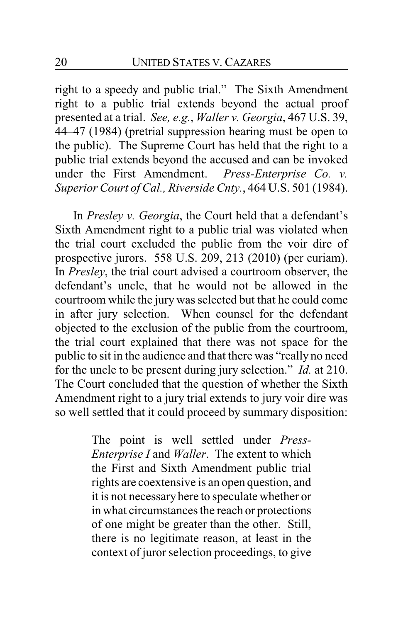right to a speedy and public trial." The Sixth Amendment right to a public trial extends beyond the actual proof presented at a trial. *See, e.g.*, *Waller v. Georgia*, 467 U.S. 39, 44–47 (1984) (pretrial suppression hearing must be open to the public). The Supreme Court has held that the right to a public trial extends beyond the accused and can be invoked under the First Amendment. *Press-Enterprise Co. v. Superior Court of Cal., Riverside Cnty.*, 464 U.S. 501 (1984).

In *Presley v. Georgia*, the Court held that a defendant's Sixth Amendment right to a public trial was violated when the trial court excluded the public from the voir dire of prospective jurors. 558 U.S. 209, 213 (2010) (per curiam). In *Presley*, the trial court advised a courtroom observer, the defendant's uncle, that he would not be allowed in the courtroom while the jury was selected but that he could come in after jury selection. When counsel for the defendant objected to the exclusion of the public from the courtroom, the trial court explained that there was not space for the public to sit in the audience and that there was "really no need for the uncle to be present during jury selection." *Id.* at 210. The Court concluded that the question of whether the Sixth Amendment right to a jury trial extends to jury voir dire was so well settled that it could proceed by summary disposition:

> The point is well settled under *Press-Enterprise I* and *Waller*. The extent to which the First and Sixth Amendment public trial rights are coextensive is an open question, and it is not necessaryhere to speculate whether or in what circumstances the reach or protections of one might be greater than the other. Still, there is no legitimate reason, at least in the context of juror selection proceedings, to give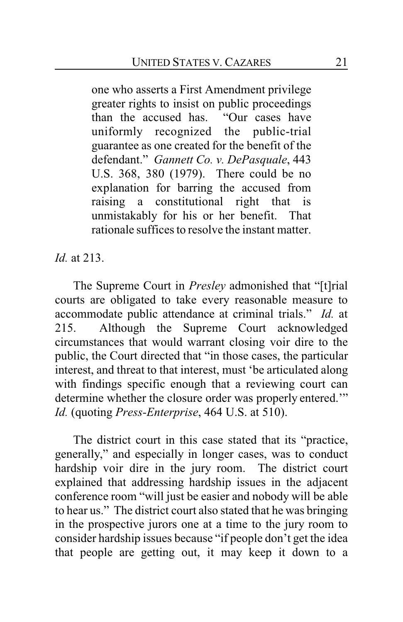one who asserts a First Amendment privilege greater rights to insist on public proceedings than the accused has. "Our cases have uniformly recognized the public-trial guarantee as one created for the benefit of the defendant." *Gannett Co. v. DePasquale*, 443 U.S. 368, 380 (1979). There could be no explanation for barring the accused from raising a constitutional right that is unmistakably for his or her benefit. That rationale suffices to resolve the instant matter.

*Id.* at 213.

The Supreme Court in *Presley* admonished that "[t]rial courts are obligated to take every reasonable measure to accommodate public attendance at criminal trials." *Id.* at 215. Although the Supreme Court acknowledged circumstances that would warrant closing voir dire to the public, the Court directed that "in those cases, the particular interest, and threat to that interest, must 'be articulated along with findings specific enough that a reviewing court can determine whether the closure order was properly entered.'" *Id.* (quoting *Press-Enterprise*, 464 U.S. at 510).

The district court in this case stated that its "practice, generally," and especially in longer cases, was to conduct hardship voir dire in the jury room. The district court explained that addressing hardship issues in the adjacent conference room "will just be easier and nobody will be able to hear us." The district court also stated that he was bringing in the prospective jurors one at a time to the jury room to consider hardship issues because "if people don't get the idea that people are getting out, it may keep it down to a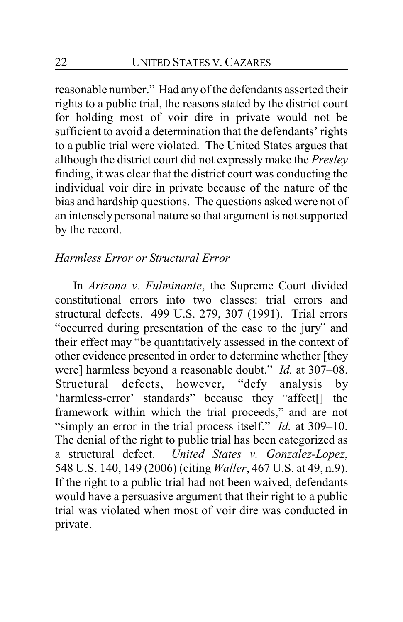reasonable number." Had any of the defendants asserted their rights to a public trial, the reasons stated by the district court for holding most of voir dire in private would not be sufficient to avoid a determination that the defendants' rights to a public trial were violated. The United States argues that although the district court did not expressly make the *Presley* finding, it was clear that the district court was conducting the individual voir dire in private because of the nature of the bias and hardship questions. The questions asked were not of an intensely personal nature so that argument is not supported by the record.

### *Harmless Error or Structural Error*

In *Arizona v. Fulminante*, the Supreme Court divided constitutional errors into two classes: trial errors and structural defects. 499 U.S. 279, 307 (1991). Trial errors "occurred during presentation of the case to the jury" and their effect may "be quantitatively assessed in the context of other evidence presented in order to determine whether [they were] harmless beyond a reasonable doubt." *Id.* at 307–08. Structural defects, however, "defy analysis by 'harmless-error' standards" because they "affect[] the framework within which the trial proceeds," and are not "simply an error in the trial process itself." *Id.* at 309–10. The denial of the right to public trial has been categorized as a structural defect. *United States v. Gonzalez-Lopez*, 548 U.S. 140, 149 (2006) (citing *Waller*, 467 U.S. at 49, n.9). If the right to a public trial had not been waived, defendants would have a persuasive argument that their right to a public trial was violated when most of voir dire was conducted in private.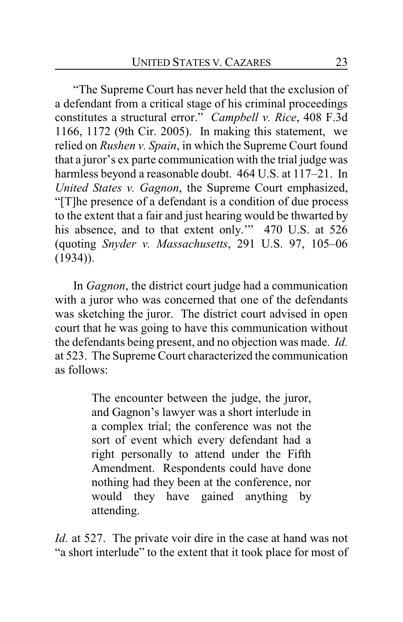"The Supreme Court has never held that the exclusion of a defendant from a critical stage of his criminal proceedings constitutes a structural error." *Campbell v. Rice*, 408 F.3d 1166, 1172 (9th Cir. 2005). In making this statement, we relied on *Rushen v. Spain*, in which the Supreme Court found that a juror's ex parte communication with the trial judge was harmless beyond a reasonable doubt. 464 U.S. at 117–21. In *United States v. Gagnon*, the Supreme Court emphasized, "[T]he presence of a defendant is a condition of due process to the extent that a fair and just hearing would be thwarted by his absence, and to that extent only." 470 U.S. at 526 (quoting *Snyder v. Massachusetts*, 291 U.S. 97, 105–06 (1934)).

In *Gagnon*, the district court judge had a communication with a juror who was concerned that one of the defendants was sketching the juror. The district court advised in open court that he was going to have this communication without the defendants being present, and no objection was made. *Id.* at 523. The Supreme Court characterized the communication as follows:

> The encounter between the judge, the juror, and Gagnon's lawyer was a short interlude in a complex trial; the conference was not the sort of event which every defendant had a right personally to attend under the Fifth Amendment. Respondents could have done nothing had they been at the conference, nor would they have gained anything by attending.

*Id.* at 527. The private voir dire in the case at hand was not "a short interlude" to the extent that it took place for most of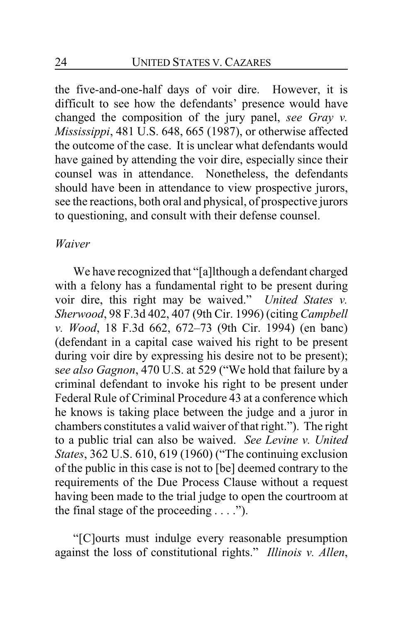the five-and-one-half days of voir dire. However, it is difficult to see how the defendants' presence would have changed the composition of the jury panel, *see Gray v. Mississippi*, 481 U.S. 648, 665 (1987), or otherwise affected the outcome of the case. It is unclear what defendants would have gained by attending the voir dire, especially since their counsel was in attendance. Nonetheless, the defendants should have been in attendance to view prospective jurors, see the reactions, both oral and physical, of prospective jurors to questioning, and consult with their defense counsel.

#### *Waiver*

We have recognized that "[a]lthough a defendant charged with a felony has a fundamental right to be present during voir dire, this right may be waived." *United States v. Sherwood*, 98 F.3d 402, 407 (9th Cir. 1996) (citing *Campbell v. Wood*, 18 F.3d 662, 672–73 (9th Cir. 1994) (en banc) (defendant in a capital case waived his right to be present during voir dire by expressing his desire not to be present); s*ee also Gagnon*, 470 U.S. at 529 ("We hold that failure by a criminal defendant to invoke his right to be present under Federal Rule of Criminal Procedure 43 at a conference which he knows is taking place between the judge and a juror in chambers constitutes a valid waiver of that right."). The right to a public trial can also be waived. *See Levine v. United States*, 362 U.S. 610, 619 (1960) ("The continuing exclusion of the public in this case is not to [be] deemed contrary to the requirements of the Due Process Clause without a request having been made to the trial judge to open the courtroom at the final stage of the proceeding  $\dots$ .").

"[C]ourts must indulge every reasonable presumption against the loss of constitutional rights." *Illinois v. Allen*,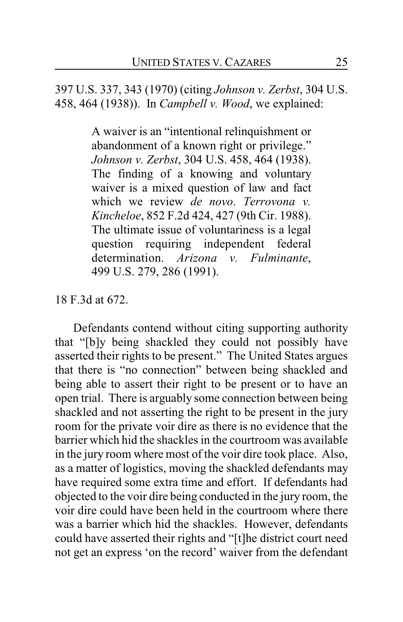397 U.S. 337, 343 (1970) (citing *Johnson v. Zerbst*, 304 U.S. 458, 464 (1938)). In *Campbell v. Wood*, we explained:

> A waiver is an "intentional relinquishment or abandonment of a known right or privilege." *Johnson v. Zerbst*, 304 U.S. 458, 464 (1938). The finding of a knowing and voluntary waiver is a mixed question of law and fact which we review *de novo*. *Terrovona v. Kincheloe*, 852 F.2d 424, 427 (9th Cir. 1988). The ultimate issue of voluntariness is a legal question requiring independent federal determination. *Arizona v. Fulminante*, 499 U.S. 279, 286 (1991).

#### 18 F.3d at 672.

Defendants contend without citing supporting authority that "[b]y being shackled they could not possibly have asserted their rights to be present." The United States argues that there is "no connection" between being shackled and being able to assert their right to be present or to have an open trial. There is arguably some connection between being shackled and not asserting the right to be present in the jury room for the private voir dire as there is no evidence that the barrier which hid the shackles in the courtroom was available in the jury room where most of the voir dire took place. Also, as a matter of logistics, moving the shackled defendants may have required some extra time and effort. If defendants had objected to the voir dire being conducted in the jury room, the voir dire could have been held in the courtroom where there was a barrier which hid the shackles. However, defendants could have asserted their rights and "[t]he district court need not get an express 'on the record' waiver from the defendant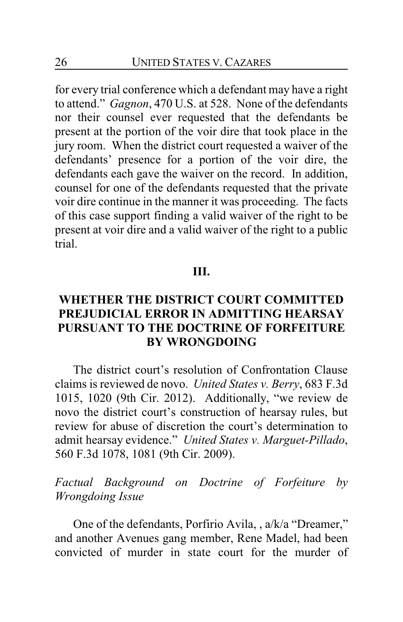for every trial conference which a defendant may have a right to attend." *Gagnon*, 470 U.S. at 528. None of the defendants nor their counsel ever requested that the defendants be present at the portion of the voir dire that took place in the jury room. When the district court requested a waiver of the defendants' presence for a portion of the voir dire, the defendants each gave the waiver on the record. In addition, counsel for one of the defendants requested that the private voir dire continue in the manner it was proceeding. The facts of this case support finding a valid waiver of the right to be present at voir dire and a valid waiver of the right to a public trial.

#### **III.**

### **WHETHER THE DISTRICT COURT COMMITTED PREJUDICIAL ERROR IN ADMITTING HEARSAY PURSUANT TO THE DOCTRINE OF FORFEITURE BY WRONGDOING**

The district court's resolution of Confrontation Clause claims is reviewed de novo. *United States v. Berry*, 683 F.3d 1015, 1020 (9th Cir. 2012). Additionally, "we review de novo the district court's construction of hearsay rules, but review for abuse of discretion the court's determination to admit hearsay evidence." *United States v. Marguet-Pillado*, 560 F.3d 1078, 1081 (9th Cir. 2009).

*Factual Background on Doctrine of Forfeiture by Wrongdoing Issue*

One of the defendants, Porfirio Avila, , a/k/a "Dreamer," and another Avenues gang member, Rene Madel, had been convicted of murder in state court for the murder of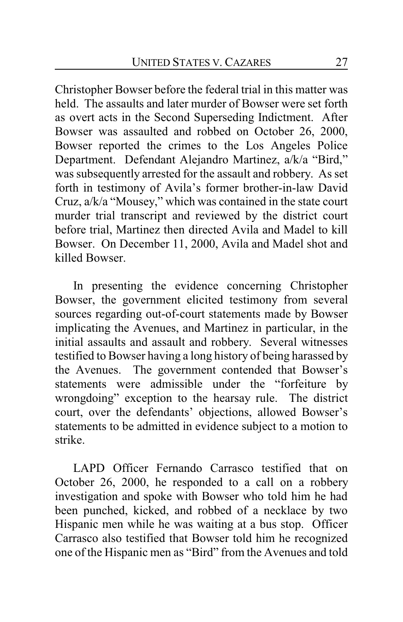Christopher Bowser before the federal trial in this matter was held. The assaults and later murder of Bowser were set forth as overt acts in the Second Superseding Indictment. After Bowser was assaulted and robbed on October 26, 2000, Bowser reported the crimes to the Los Angeles Police Department. Defendant Alejandro Martinez, a/k/a "Bird," was subsequently arrested for the assault and robbery. As set forth in testimony of Avila's former brother-in-law David Cruz, a/k/a "Mousey," which was contained in the state court murder trial transcript and reviewed by the district court before trial, Martinez then directed Avila and Madel to kill Bowser. On December 11, 2000, Avila and Madel shot and killed Bowser.

In presenting the evidence concerning Christopher Bowser, the government elicited testimony from several sources regarding out-of-court statements made by Bowser implicating the Avenues, and Martinez in particular, in the initial assaults and assault and robbery. Several witnesses testified to Bowser having a long history of being harassed by the Avenues. The government contended that Bowser's statements were admissible under the "forfeiture by wrongdoing" exception to the hearsay rule. The district court, over the defendants' objections, allowed Bowser's statements to be admitted in evidence subject to a motion to strike.

LAPD Officer Fernando Carrasco testified that on October 26, 2000, he responded to a call on a robbery investigation and spoke with Bowser who told him he had been punched, kicked, and robbed of a necklace by two Hispanic men while he was waiting at a bus stop. Officer Carrasco also testified that Bowser told him he recognized one of the Hispanic men as "Bird" from the Avenues and told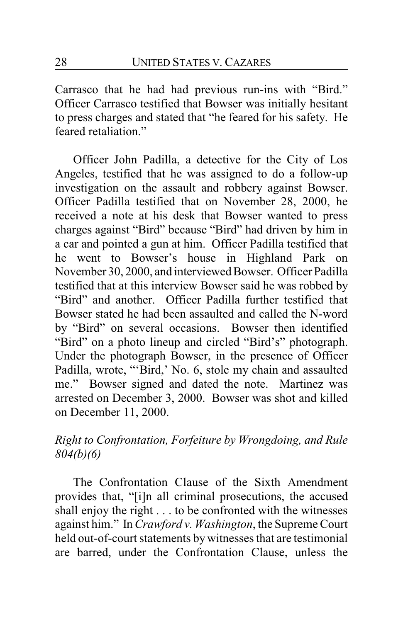Carrasco that he had had previous run-ins with "Bird." Officer Carrasco testified that Bowser was initially hesitant to press charges and stated that "he feared for his safety. He feared retaliation."

Officer John Padilla, a detective for the City of Los Angeles, testified that he was assigned to do a follow-up investigation on the assault and robbery against Bowser. Officer Padilla testified that on November 28, 2000, he received a note at his desk that Bowser wanted to press charges against "Bird" because "Bird" had driven by him in a car and pointed a gun at him. Officer Padilla testified that he went to Bowser's house in Highland Park on November 30, 2000, and interviewed Bowser. Officer Padilla testified that at this interview Bowser said he was robbed by "Bird" and another. Officer Padilla further testified that Bowser stated he had been assaulted and called the N-word by "Bird" on several occasions. Bowser then identified "Bird" on a photo lineup and circled "Bird's" photograph. Under the photograph Bowser, in the presence of Officer Padilla, wrote, "'Bird,' No. 6, stole my chain and assaulted me." Bowser signed and dated the note. Martinez was arrested on December 3, 2000. Bowser was shot and killed on December 11, 2000.

## *Right to Confrontation, Forfeiture by Wrongdoing, and Rule 804(b)(6)*

The Confrontation Clause of the Sixth Amendment provides that, "[i]n all criminal prosecutions, the accused shall enjoy the right . . . to be confronted with the witnesses against him." In *Crawford v. Washington*, the Supreme Court held out-of-court statements by witnesses that are testimonial are barred, under the Confrontation Clause, unless the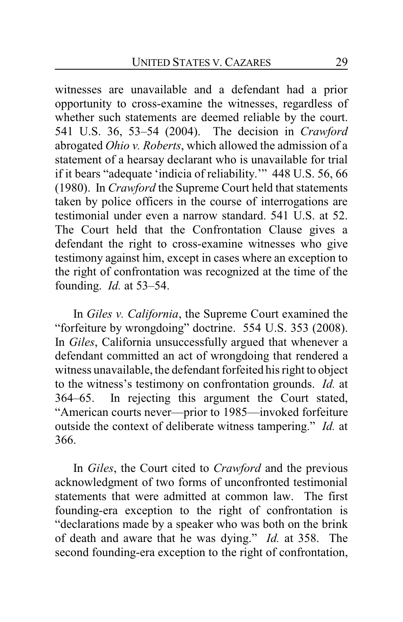witnesses are unavailable and a defendant had a prior opportunity to cross-examine the witnesses, regardless of whether such statements are deemed reliable by the court. 541 U.S. 36, 53–54 (2004). The decision in *Crawford* abrogated *Ohio v. Roberts*, which allowed the admission of a statement of a hearsay declarant who is unavailable for trial if it bears "adequate 'indicia of reliability.'" 448 U.S. 56, 66 (1980). In *Crawford* the Supreme Court held that statements taken by police officers in the course of interrogations are testimonial under even a narrow standard. 541 U.S. at 52. The Court held that the Confrontation Clause gives a defendant the right to cross-examine witnesses who give testimony against him, except in cases where an exception to the right of confrontation was recognized at the time of the founding. *Id.* at 53–54.

In *Giles v. California*, the Supreme Court examined the "forfeiture by wrongdoing" doctrine. 554 U.S. 353 (2008). In *Giles*, California unsuccessfully argued that whenever a defendant committed an act of wrongdoing that rendered a witness unavailable, the defendant forfeited his right to object to the witness's testimony on confrontation grounds. *Id.* at 364–65. In rejecting this argument the Court stated, "American courts never—prior to 1985—invoked forfeiture outside the context of deliberate witness tampering." *Id.* at 366.

In *Giles*, the Court cited to *Crawford* and the previous acknowledgment of two forms of unconfronted testimonial statements that were admitted at common law. The first founding-era exception to the right of confrontation is "declarations made by a speaker who was both on the brink of death and aware that he was dying." *Id.* at 358. The second founding-era exception to the right of confrontation,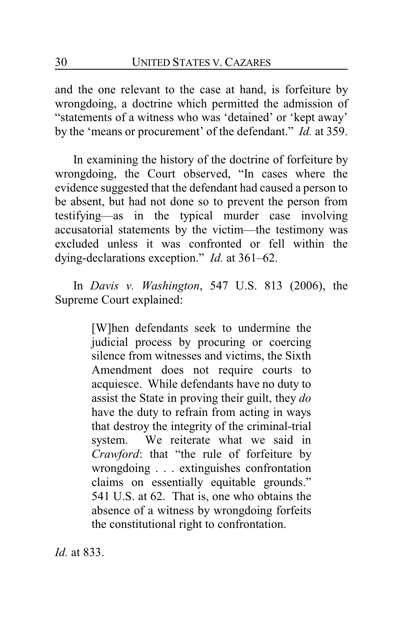and the one relevant to the case at hand, is forfeiture by wrongdoing, a doctrine which permitted the admission of "statements of a witness who was 'detained' or 'kept away' by the 'means or procurement' of the defendant." *Id.* at 359.

In examining the history of the doctrine of forfeiture by wrongdoing, the Court observed, "In cases where the evidence suggested that the defendant had caused a person to be absent, but had not done so to prevent the person from testifying—as in the typical murder case involving accusatorial statements by the victim—the testimony was excluded unless it was confronted or fell within the dying-declarations exception." *Id.* at 361–62.

In *Davis v. Washington*, 547 U.S. 813 (2006), the Supreme Court explained:

> [W]hen defendants seek to undermine the judicial process by procuring or coercing silence from witnesses and victims, the Sixth Amendment does not require courts to acquiesce. While defendants have no duty to assist the State in proving their guilt, they *do* have the duty to refrain from acting in ways that destroy the integrity of the criminal-trial system. We reiterate what we said in *Crawford*: that "the rule of forfeiture by wrongdoing . . . extinguishes confrontation claims on essentially equitable grounds." 541 U.S. at 62. That is, one who obtains the absence of a witness by wrongdoing forfeits the constitutional right to confrontation.

*Id.* at 833.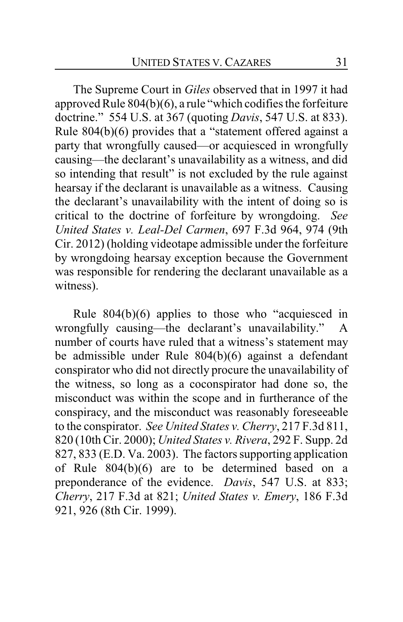The Supreme Court in *Giles* observed that in 1997 it had approved Rule 804(b)(6), a rule "which codifies the forfeiture doctrine." 554 U.S. at 367 (quoting *Davis*, 547 U.S. at 833). Rule 804(b)(6) provides that a "statement offered against a party that wrongfully caused—or acquiesced in wrongfully causing—the declarant's unavailability as a witness, and did so intending that result" is not excluded by the rule against hearsay if the declarant is unavailable as a witness. Causing the declarant's unavailability with the intent of doing so is critical to the doctrine of forfeiture by wrongdoing. *See United States v. Leal-Del Carmen*, 697 F.3d 964, 974 (9th Cir. 2012) (holding videotape admissible under the forfeiture by wrongdoing hearsay exception because the Government was responsible for rendering the declarant unavailable as a witness).

Rule 804(b)(6) applies to those who "acquiesced in wrongfully causing—the declarant's unavailability." A number of courts have ruled that a witness's statement may be admissible under Rule 804(b)(6) against a defendant conspirator who did not directly procure the unavailability of the witness, so long as a coconspirator had done so, the misconduct was within the scope and in furtherance of the conspiracy, and the misconduct was reasonably foreseeable to the conspirator. *See United States v. Cherry*, 217 F.3d 811, 820 (10th Cir. 2000); *United States v. Rivera*, 292 F. Supp. 2d 827, 833 (E.D. Va. 2003). The factors supporting application of Rule 804(b)(6) are to be determined based on a preponderance of the evidence. *Davis*, 547 U.S. at 833; *Cherry*, 217 F.3d at 821; *United States v. Emery*, 186 F.3d 921, 926 (8th Cir. 1999).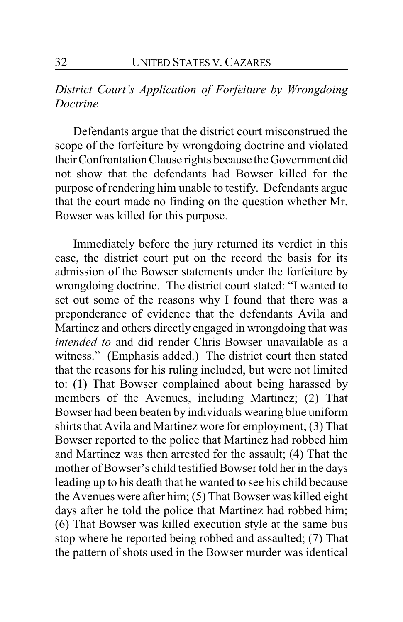### *District Court's Application of Forfeiture by Wrongdoing Doctrine*

Defendants argue that the district court misconstrued the scope of the forfeiture by wrongdoing doctrine and violated theirConfrontation Clause rights because the Government did not show that the defendants had Bowser killed for the purpose of rendering him unable to testify. Defendants argue that the court made no finding on the question whether Mr. Bowser was killed for this purpose.

Immediately before the jury returned its verdict in this case, the district court put on the record the basis for its admission of the Bowser statements under the forfeiture by wrongdoing doctrine. The district court stated: "I wanted to set out some of the reasons why I found that there was a preponderance of evidence that the defendants Avila and Martinez and others directly engaged in wrongdoing that was *intended to* and did render Chris Bowser unavailable as a witness." (Emphasis added.) The district court then stated that the reasons for his ruling included, but were not limited to: (1) That Bowser complained about being harassed by members of the Avenues, including Martinez; (2) That Bowser had been beaten by individuals wearing blue uniform shirts that Avila and Martinez wore for employment; (3) That Bowser reported to the police that Martinez had robbed him and Martinez was then arrested for the assault; (4) That the mother of Bowser's child testified Bowser told her in the days leading up to his death that he wanted to see his child because the Avenues were after him; (5) That Bowser was killed eight days after he told the police that Martinez had robbed him; (6) That Bowser was killed execution style at the same bus stop where he reported being robbed and assaulted; (7) That the pattern of shots used in the Bowser murder was identical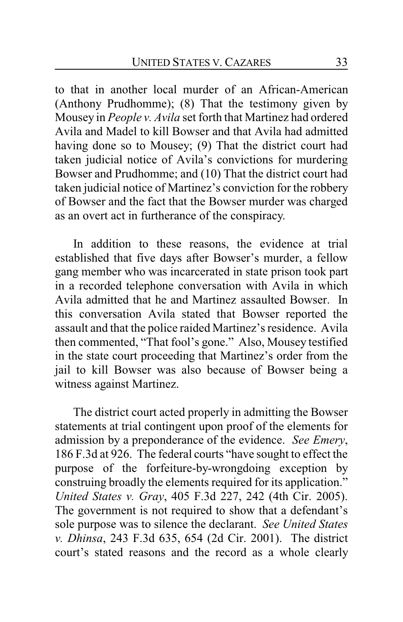to that in another local murder of an African-American (Anthony Prudhomme); (8) That the testimony given by Mousey in *People v. Avila* set forth that Martinez had ordered Avila and Madel to kill Bowser and that Avila had admitted having done so to Mousey; (9) That the district court had taken judicial notice of Avila's convictions for murdering Bowser and Prudhomme; and (10) That the district court had taken judicial notice of Martinez's conviction for the robbery of Bowser and the fact that the Bowser murder was charged as an overt act in furtherance of the conspiracy.

In addition to these reasons, the evidence at trial established that five days after Bowser's murder, a fellow gang member who was incarcerated in state prison took part in a recorded telephone conversation with Avila in which Avila admitted that he and Martinez assaulted Bowser. In this conversation Avila stated that Bowser reported the assault and that the police raided Martinez's residence. Avila then commented, "That fool's gone." Also, Mousey testified in the state court proceeding that Martinez's order from the jail to kill Bowser was also because of Bowser being a witness against Martinez.

The district court acted properly in admitting the Bowser statements at trial contingent upon proof of the elements for admission by a preponderance of the evidence. *See Emery*, 186 F.3d at 926. The federal courts "have sought to effect the purpose of the forfeiture-by-wrongdoing exception by construing broadly the elements required for its application." *United States v. Gray*, 405 F.3d 227, 242 (4th Cir. 2005). The government is not required to show that a defendant's sole purpose was to silence the declarant. *See United States v. Dhinsa*, 243 F.3d 635, 654 (2d Cir. 2001). The district court's stated reasons and the record as a whole clearly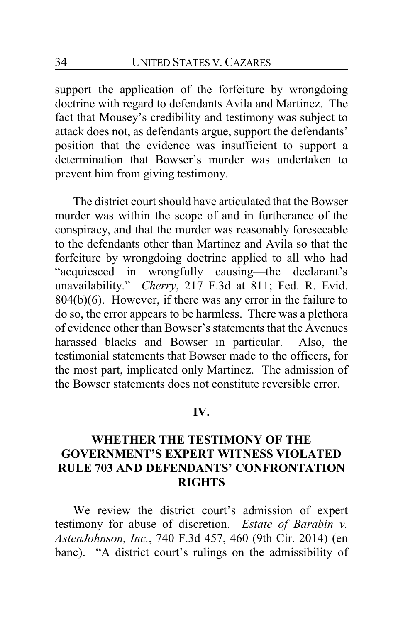support the application of the forfeiture by wrongdoing doctrine with regard to defendants Avila and Martinez. The fact that Mousey's credibility and testimony was subject to attack does not, as defendants argue, support the defendants' position that the evidence was insufficient to support a determination that Bowser's murder was undertaken to prevent him from giving testimony.

The district court should have articulated that the Bowser murder was within the scope of and in furtherance of the conspiracy, and that the murder was reasonably foreseeable to the defendants other than Martinez and Avila so that the forfeiture by wrongdoing doctrine applied to all who had "acquiesced in wrongfully causing—the declarant's unavailability." *Cherry*, 217 F.3d at 811; Fed. R. Evid. 804(b)(6). However, if there was any error in the failure to do so, the error appears to be harmless. There was a plethora of evidence other than Bowser's statements that the Avenues harassed blacks and Bowser in particular. Also, the testimonial statements that Bowser made to the officers, for the most part, implicated only Martinez. The admission of the Bowser statements does not constitute reversible error.

#### **IV.**

### **WHETHER THE TESTIMONY OF THE GOVERNMENT'S EXPERT WITNESS VIOLATED RULE 703 AND DEFENDANTS' CONFRONTATION RIGHTS**

We review the district court's admission of expert testimony for abuse of discretion. *Estate of Barabin v. AstenJohnson, Inc.*, 740 F.3d 457, 460 (9th Cir. 2014) (en banc). "A district court's rulings on the admissibility of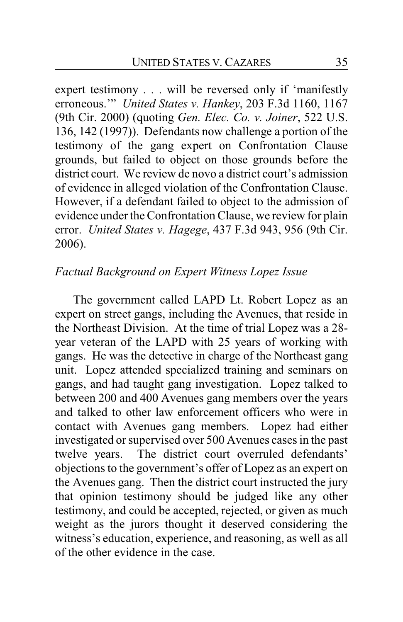expert testimony . . . will be reversed only if 'manifestly erroneous.'" *United States v. Hankey*, 203 F.3d 1160, 1167 (9th Cir. 2000) (quoting *Gen. Elec. Co. v. Joiner*, 522 U.S. 136, 142 (1997)). Defendants now challenge a portion of the testimony of the gang expert on Confrontation Clause grounds, but failed to object on those grounds before the district court. We review de novo a district court's admission of evidence in alleged violation of the Confrontation Clause. However, if a defendant failed to object to the admission of evidence under the Confrontation Clause, we review for plain error. *United States v. Hagege*, 437 F.3d 943, 956 (9th Cir. 2006).

### *Factual Background on Expert Witness Lopez Issue*

The government called LAPD Lt. Robert Lopez as an expert on street gangs, including the Avenues, that reside in the Northeast Division. At the time of trial Lopez was a 28 year veteran of the LAPD with 25 years of working with gangs. He was the detective in charge of the Northeast gang unit. Lopez attended specialized training and seminars on gangs, and had taught gang investigation. Lopez talked to between 200 and 400 Avenues gang members over the years and talked to other law enforcement officers who were in contact with Avenues gang members. Lopez had either investigated or supervised over 500 Avenues cases in the past twelve years. The district court overruled defendants' objections to the government's offer of Lopez as an expert on the Avenues gang. Then the district court instructed the jury that opinion testimony should be judged like any other testimony, and could be accepted, rejected, or given as much weight as the jurors thought it deserved considering the witness's education, experience, and reasoning, as well as all of the other evidence in the case.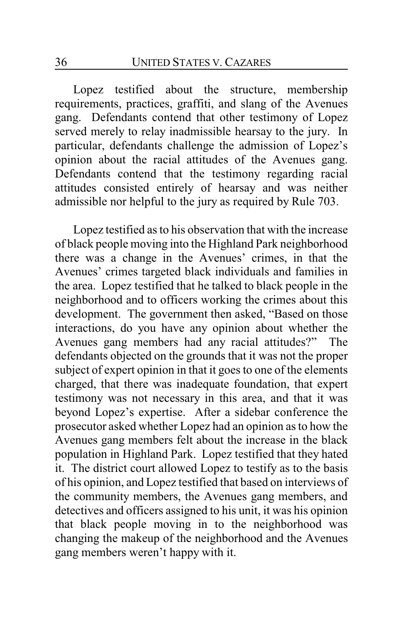Lopez testified about the structure, membership requirements, practices, graffiti, and slang of the Avenues gang. Defendants contend that other testimony of Lopez served merely to relay inadmissible hearsay to the jury. In particular, defendants challenge the admission of Lopez's opinion about the racial attitudes of the Avenues gang. Defendants contend that the testimony regarding racial attitudes consisted entirely of hearsay and was neither admissible nor helpful to the jury as required by Rule 703.

Lopez testified as to his observation that with the increase of black people moving into the Highland Park neighborhood there was a change in the Avenues' crimes, in that the Avenues' crimes targeted black individuals and families in the area. Lopez testified that he talked to black people in the neighborhood and to officers working the crimes about this development. The government then asked, "Based on those interactions, do you have any opinion about whether the Avenues gang members had any racial attitudes?" The defendants objected on the grounds that it was not the proper subject of expert opinion in that it goes to one of the elements charged, that there was inadequate foundation, that expert testimony was not necessary in this area, and that it was beyond Lopez's expertise. After a sidebar conference the prosecutor asked whether Lopez had an opinion as to how the Avenues gang members felt about the increase in the black population in Highland Park. Lopez testified that they hated it. The district court allowed Lopez to testify as to the basis of his opinion, and Lopez testified that based on interviews of the community members, the Avenues gang members, and detectives and officers assigned to his unit, it was his opinion that black people moving in to the neighborhood was changing the makeup of the neighborhood and the Avenues gang members weren't happy with it.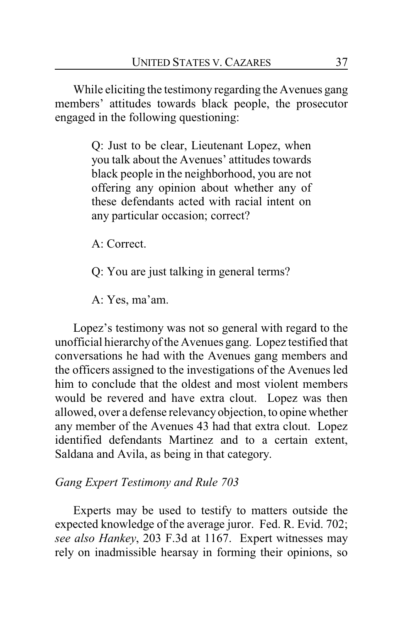While eliciting the testimony regarding the Avenues gang members' attitudes towards black people, the prosecutor engaged in the following questioning:

> Q: Just to be clear, Lieutenant Lopez, when you talk about the Avenues' attitudes towards black people in the neighborhood, you are not offering any opinion about whether any of these defendants acted with racial intent on any particular occasion; correct?

A: Correct.

Q: You are just talking in general terms?

A: Yes, ma'am.

Lopez's testimony was not so general with regard to the unofficial hierarchyof the Avenues gang. Lopez testified that conversations he had with the Avenues gang members and the officers assigned to the investigations of the Avenues led him to conclude that the oldest and most violent members would be revered and have extra clout. Lopez was then allowed, over a defense relevancyobjection, to opine whether any member of the Avenues 43 had that extra clout. Lopez identified defendants Martinez and to a certain extent, Saldana and Avila, as being in that category.

### *Gang Expert Testimony and Rule 703*

Experts may be used to testify to matters outside the expected knowledge of the average juror. Fed. R. Evid. 702; *see also Hankey*, 203 F.3d at 1167. Expert witnesses may rely on inadmissible hearsay in forming their opinions, so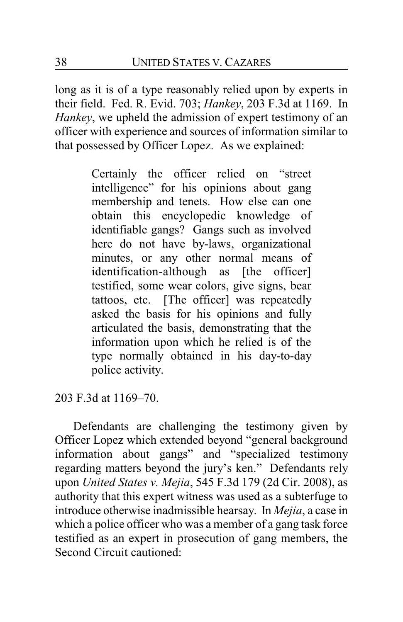long as it is of a type reasonably relied upon by experts in their field. Fed. R. Evid. 703; *Hankey*, 203 F.3d at 1169. In *Hankey*, we upheld the admission of expert testimony of an officer with experience and sources of information similar to that possessed by Officer Lopez. As we explained:

> Certainly the officer relied on "street intelligence" for his opinions about gang membership and tenets. How else can one obtain this encyclopedic knowledge of identifiable gangs? Gangs such as involved here do not have by-laws, organizational minutes, or any other normal means of identification-although as [the officer] testified, some wear colors, give signs, bear tattoos, etc. [The officer] was repeatedly asked the basis for his opinions and fully articulated the basis, demonstrating that the information upon which he relied is of the type normally obtained in his day-to-day police activity.

203 F.3d at 1169–70.

Defendants are challenging the testimony given by Officer Lopez which extended beyond "general background information about gangs" and "specialized testimony regarding matters beyond the jury's ken." Defendants rely upon *United States v. Mejia*, 545 F.3d 179 (2d Cir. 2008), as authority that this expert witness was used as a subterfuge to introduce otherwise inadmissible hearsay. In *Mejia*, a case in which a police officer who was a member of a gang task force testified as an expert in prosecution of gang members, the Second Circuit cautioned: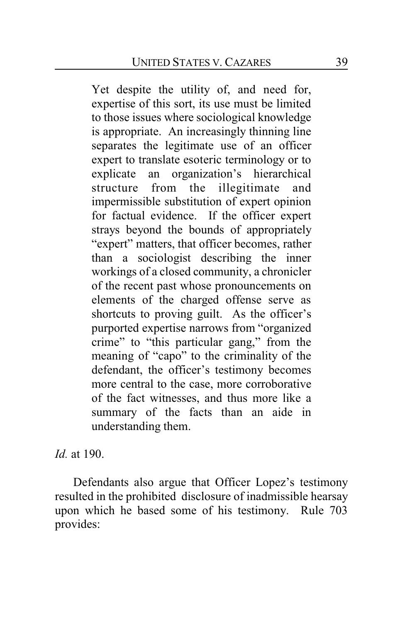Yet despite the utility of, and need for, expertise of this sort, its use must be limited to those issues where sociological knowledge is appropriate. An increasingly thinning line separates the legitimate use of an officer expert to translate esoteric terminology or to explicate an organization's hierarchical structure from the illegitimate and impermissible substitution of expert opinion for factual evidence. If the officer expert strays beyond the bounds of appropriately "expert" matters, that officer becomes, rather than a sociologist describing the inner workings of a closed community, a chronicler of the recent past whose pronouncements on elements of the charged offense serve as shortcuts to proving guilt. As the officer's purported expertise narrows from "organized crime" to "this particular gang," from the meaning of "capo" to the criminality of the defendant, the officer's testimony becomes more central to the case, more corroborative of the fact witnesses, and thus more like a summary of the facts than an aide in understanding them.

*Id.* at 190.

Defendants also argue that Officer Lopez's testimony resulted in the prohibited disclosure of inadmissible hearsay upon which he based some of his testimony. Rule 703 provides: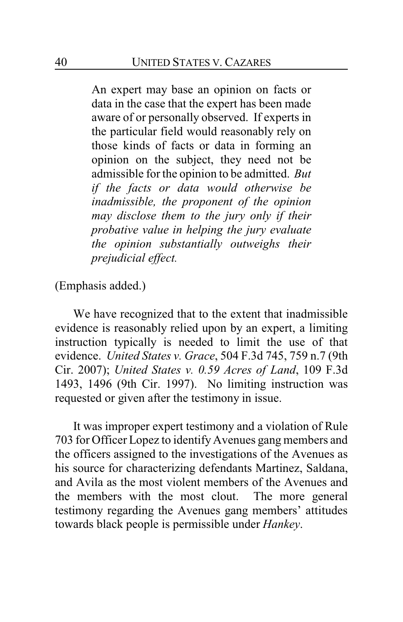An expert may base an opinion on facts or data in the case that the expert has been made aware of or personally observed. If experts in the particular field would reasonably rely on those kinds of facts or data in forming an opinion on the subject, they need not be admissible for the opinion to be admitted. *But if the facts or data would otherwise be inadmissible, the proponent of the opinion may disclose them to the jury only if their probative value in helping the jury evaluate the opinion substantially outweighs their prejudicial effect.*

(Emphasis added.)

We have recognized that to the extent that inadmissible evidence is reasonably relied upon by an expert, a limiting instruction typically is needed to limit the use of that evidence. *United States v. Grace*, 504 F.3d 745, 759 n.7 (9th Cir. 2007); *United States v. 0.59 Acres of Land*, 109 F.3d 1493, 1496 (9th Cir. 1997). No limiting instruction was requested or given after the testimony in issue.

It was improper expert testimony and a violation of Rule 703 for Officer Lopez to identifyAvenues gang members and the officers assigned to the investigations of the Avenues as his source for characterizing defendants Martinez, Saldana, and Avila as the most violent members of the Avenues and the members with the most clout. The more general testimony regarding the Avenues gang members' attitudes towards black people is permissible under *Hankey*.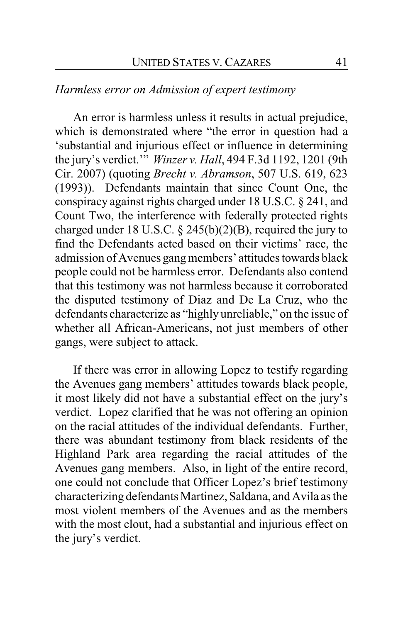### *Harmless error on Admission of expert testimony*

An error is harmless unless it results in actual prejudice, which is demonstrated where "the error in question had a 'substantial and injurious effect or influence in determining the jury's verdict.'" *Winzer v. Hall*, 494 F.3d 1192, 1201 (9th Cir. 2007) (quoting *Brecht v. Abramson*, 507 U.S. 619, 623 (1993)). Defendants maintain that since Count One, the conspiracy against rights charged under 18 U.S.C. § 241, and Count Two, the interference with federally protected rights charged under 18 U.S.C.  $\S$  245(b)(2)(B), required the jury to find the Defendants acted based on their victims' race, the admission of Avenues gangmembers' attitudes towards black people could not be harmless error. Defendants also contend that this testimony was not harmless because it corroborated the disputed testimony of Diaz and De La Cruz, who the defendants characterize as "highly unreliable," on the issue of whether all African-Americans, not just members of other gangs, were subject to attack.

If there was error in allowing Lopez to testify regarding the Avenues gang members' attitudes towards black people, it most likely did not have a substantial effect on the jury's verdict. Lopez clarified that he was not offering an opinion on the racial attitudes of the individual defendants. Further, there was abundant testimony from black residents of the Highland Park area regarding the racial attitudes of the Avenues gang members. Also, in light of the entire record, one could not conclude that Officer Lopez's brief testimony characterizing defendants Martinez, Saldana, and Avila as the most violent members of the Avenues and as the members with the most clout, had a substantial and injurious effect on the jury's verdict.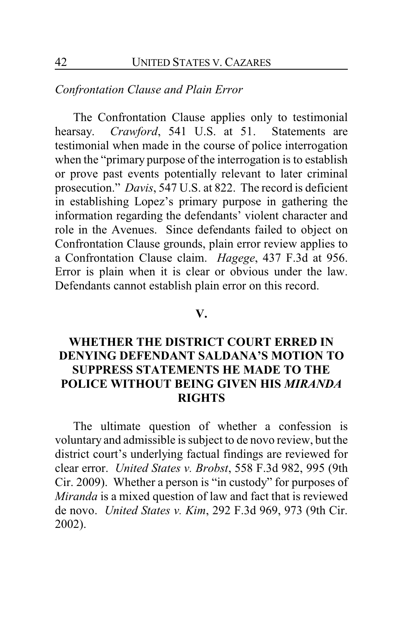### *Confrontation Clause and Plain Error*

The Confrontation Clause applies only to testimonial hearsay. *Crawford*, 541 U.S. at 51. Statements are testimonial when made in the course of police interrogation when the "primary purpose of the interrogation is to establish or prove past events potentially relevant to later criminal prosecution." *Davis*, 547 U.S. at 822. The record is deficient in establishing Lopez's primary purpose in gathering the information regarding the defendants' violent character and role in the Avenues. Since defendants failed to object on Confrontation Clause grounds, plain error review applies to a Confrontation Clause claim. *Hagege*, 437 F.3d at 956. Error is plain when it is clear or obvious under the law. Defendants cannot establish plain error on this record.

#### **V.**

## **WHETHER THE DISTRICT COURT ERRED IN DENYING DEFENDANT SALDANA'S MOTION TO SUPPRESS STATEMENTS HE MADE TO THE POLICE WITHOUT BEING GIVEN HIS** *MIRANDA* **RIGHTS**

The ultimate question of whether a confession is voluntary and admissible is subject to de novo review, but the district court's underlying factual findings are reviewed for clear error. *United States v. Brobst*, 558 F.3d 982, 995 (9th Cir. 2009). Whether a person is "in custody" for purposes of *Miranda* is a mixed question of law and fact that is reviewed de novo. *United States v. Kim*, 292 F.3d 969, 973 (9th Cir. 2002).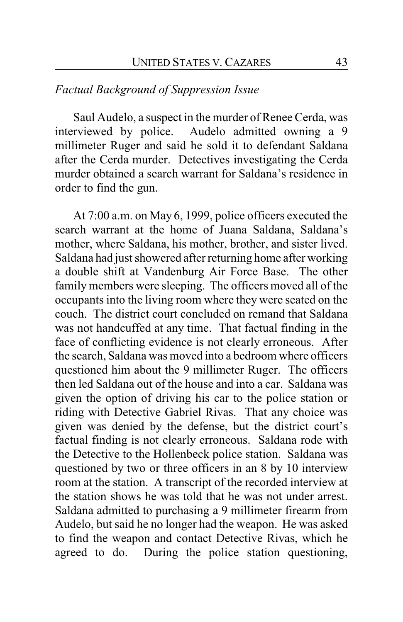## *Factual Background of Suppression Issue*

Saul Audelo, a suspect in the murder of Renee Cerda, was interviewed by police. Audelo admitted owning a 9 millimeter Ruger and said he sold it to defendant Saldana after the Cerda murder. Detectives investigating the Cerda murder obtained a search warrant for Saldana's residence in order to find the gun.

At 7:00 a.m. on May 6, 1999, police officers executed the search warrant at the home of Juana Saldana, Saldana's mother, where Saldana, his mother, brother, and sister lived. Saldana had just showered after returning home after working a double shift at Vandenburg Air Force Base. The other family members were sleeping. The officers moved all of the occupants into the living room where they were seated on the couch. The district court concluded on remand that Saldana was not handcuffed at any time. That factual finding in the face of conflicting evidence is not clearly erroneous. After the search, Saldana was moved into a bedroom where officers questioned him about the 9 millimeter Ruger. The officers then led Saldana out of the house and into a car. Saldana was given the option of driving his car to the police station or riding with Detective Gabriel Rivas. That any choice was given was denied by the defense, but the district court's factual finding is not clearly erroneous. Saldana rode with the Detective to the Hollenbeck police station. Saldana was questioned by two or three officers in an 8 by 10 interview room at the station. A transcript of the recorded interview at the station shows he was told that he was not under arrest. Saldana admitted to purchasing a 9 millimeter firearm from Audelo, but said he no longer had the weapon. He was asked to find the weapon and contact Detective Rivas, which he agreed to do. During the police station questioning,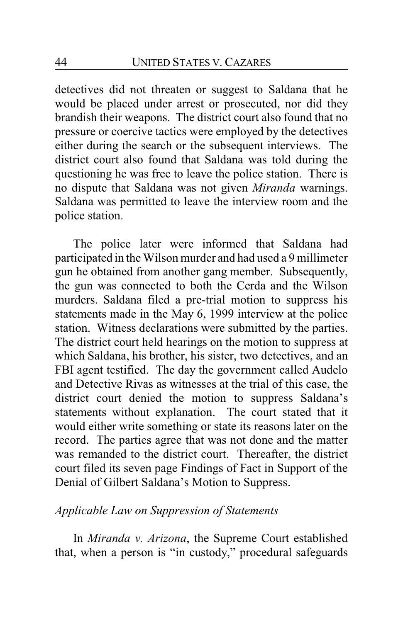detectives did not threaten or suggest to Saldana that he would be placed under arrest or prosecuted, nor did they brandish their weapons. The district court also found that no pressure or coercive tactics were employed by the detectives either during the search or the subsequent interviews. The district court also found that Saldana was told during the questioning he was free to leave the police station. There is no dispute that Saldana was not given *Miranda* warnings. Saldana was permitted to leave the interview room and the police station.

The police later were informed that Saldana had participated in the Wilson murder and had used a 9 millimeter gun he obtained from another gang member. Subsequently, the gun was connected to both the Cerda and the Wilson murders. Saldana filed a pre-trial motion to suppress his statements made in the May 6, 1999 interview at the police station. Witness declarations were submitted by the parties. The district court held hearings on the motion to suppress at which Saldana, his brother, his sister, two detectives, and an FBI agent testified. The day the government called Audelo and Detective Rivas as witnesses at the trial of this case, the district court denied the motion to suppress Saldana's statements without explanation. The court stated that it would either write something or state its reasons later on the record. The parties agree that was not done and the matter was remanded to the district court. Thereafter, the district court filed its seven page Findings of Fact in Support of the Denial of Gilbert Saldana's Motion to Suppress.

### *Applicable Law on Suppression of Statements*

In *Miranda v. Arizona*, the Supreme Court established that, when a person is "in custody," procedural safeguards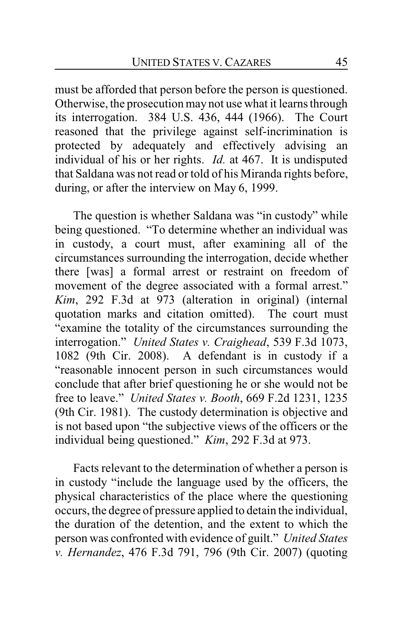must be afforded that person before the person is questioned. Otherwise, the prosecution may not use what it learns through its interrogation. 384 U.S. 436, 444 (1966). The Court reasoned that the privilege against self-incrimination is protected by adequately and effectively advising an individual of his or her rights. *Id.* at 467. It is undisputed that Saldana was not read or told of his Miranda rights before, during, or after the interview on May 6, 1999.

The question is whether Saldana was "in custody" while being questioned. "To determine whether an individual was in custody, a court must, after examining all of the circumstances surrounding the interrogation, decide whether there [was] a formal arrest or restraint on freedom of movement of the degree associated with a formal arrest." *Kim*, 292 F.3d at 973 (alteration in original) (internal quotation marks and citation omitted). The court must "examine the totality of the circumstances surrounding the interrogation." *United States v. Craighead*, 539 F.3d 1073, 1082 (9th Cir. 2008). A defendant is in custody if a "reasonable innocent person in such circumstances would conclude that after brief questioning he or she would not be free to leave." *United States v. Booth*, 669 F.2d 1231, 1235 (9th Cir. 1981). The custody determination is objective and is not based upon "the subjective views of the officers or the individual being questioned." *Kim*, 292 F.3d at 973.

Facts relevant to the determination of whether a person is in custody "include the language used by the officers, the physical characteristics of the place where the questioning occurs, the degree of pressure applied to detain the individual, the duration of the detention, and the extent to which the person was confronted with evidence of guilt." *United States v. Hernandez*, 476 F.3d 791, 796 (9th Cir. 2007) (quoting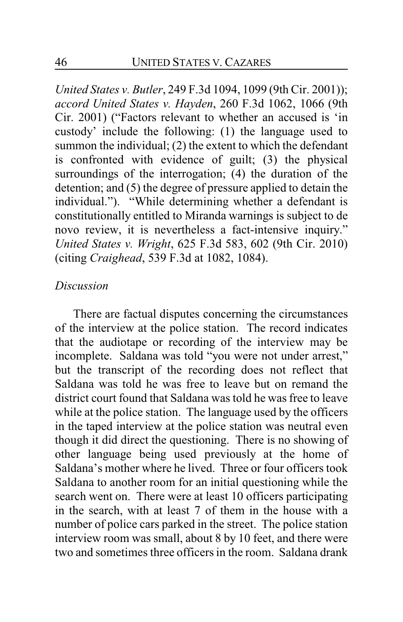*United States v. Butler*, 249 F.3d 1094, 1099 (9th Cir. 2001)); *accord United States v. Hayden*, 260 F.3d 1062, 1066 (9th Cir. 2001) ("Factors relevant to whether an accused is 'in custody' include the following: (1) the language used to summon the individual; (2) the extent to which the defendant is confronted with evidence of guilt; (3) the physical surroundings of the interrogation; (4) the duration of the detention; and (5) the degree of pressure applied to detain the individual."). "While determining whether a defendant is constitutionally entitled to Miranda warnings is subject to de novo review, it is nevertheless a fact-intensive inquiry." *United States v. Wright*, 625 F.3d 583, 602 (9th Cir. 2010) (citing *Craighead*, 539 F.3d at 1082, 1084).

### *Discussion*

There are factual disputes concerning the circumstances of the interview at the police station. The record indicates that the audiotape or recording of the interview may be incomplete. Saldana was told "you were not under arrest," but the transcript of the recording does not reflect that Saldana was told he was free to leave but on remand the district court found that Saldana was told he was free to leave while at the police station. The language used by the officers in the taped interview at the police station was neutral even though it did direct the questioning. There is no showing of other language being used previously at the home of Saldana's mother where he lived. Three or four officers took Saldana to another room for an initial questioning while the search went on. There were at least 10 officers participating in the search, with at least 7 of them in the house with a number of police cars parked in the street. The police station interview room was small, about 8 by 10 feet, and there were two and sometimes three officers in the room. Saldana drank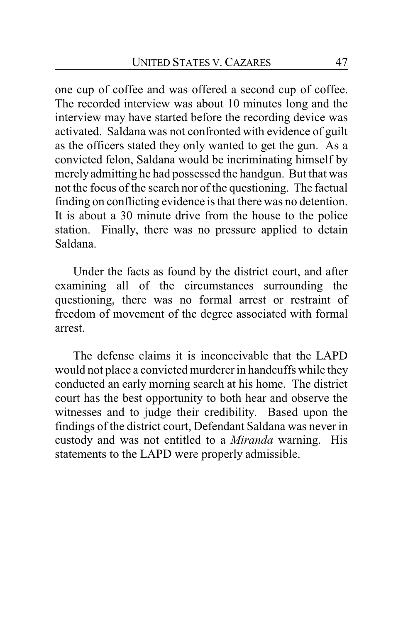one cup of coffee and was offered a second cup of coffee. The recorded interview was about 10 minutes long and the interview may have started before the recording device was activated. Saldana was not confronted with evidence of guilt as the officers stated they only wanted to get the gun. As a convicted felon, Saldana would be incriminating himself by merely admitting he had possessed the handgun. But that was not the focus of the search nor of the questioning. The factual finding on conflicting evidence is that there was no detention. It is about a 30 minute drive from the house to the police station. Finally, there was no pressure applied to detain Saldana.

Under the facts as found by the district court, and after examining all of the circumstances surrounding the questioning, there was no formal arrest or restraint of freedom of movement of the degree associated with formal arrest.

The defense claims it is inconceivable that the LAPD would not place a convicted murderer in handcuffs while they conducted an early morning search at his home. The district court has the best opportunity to both hear and observe the witnesses and to judge their credibility. Based upon the findings of the district court, Defendant Saldana was never in custody and was not entitled to a *Miranda* warning. His statements to the LAPD were properly admissible.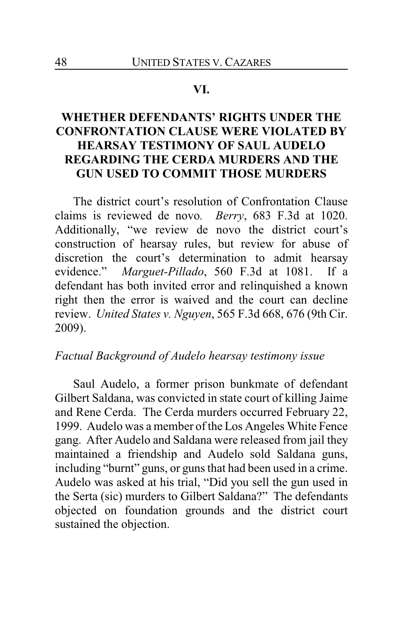#### **VI.**

## **WHETHER DEFENDANTS' RIGHTS UNDER THE CONFRONTATION CLAUSE WERE VIOLATED BY HEARSAY TESTIMONY OF SAUL AUDELO REGARDING THE CERDA MURDERS AND THE GUN USED TO COMMIT THOSE MURDERS**

The district court's resolution of Confrontation Clause claims is reviewed de novo*. Berry*, 683 F.3d at 1020. Additionally, "we review de novo the district court's construction of hearsay rules, but review for abuse of discretion the court's determination to admit hearsay evidence." *Marguet-Pillado*, 560 F.3d at 1081. If a defendant has both invited error and relinquished a known right then the error is waived and the court can decline review. *United States v. Nguyen*, 565 F.3d 668, 676 (9th Cir. 2009).

#### *Factual Background of Audelo hearsay testimony issue*

Saul Audelo, a former prison bunkmate of defendant Gilbert Saldana, was convicted in state court of killing Jaime and Rene Cerda. The Cerda murders occurred February 22, 1999. Audelo was a member of the Los Angeles White Fence gang. After Audelo and Saldana were released from jail they maintained a friendship and Audelo sold Saldana guns, including "burnt" guns, or guns that had been used in a crime. Audelo was asked at his trial, "Did you sell the gun used in the Serta (sic) murders to Gilbert Saldana?" The defendants objected on foundation grounds and the district court sustained the objection.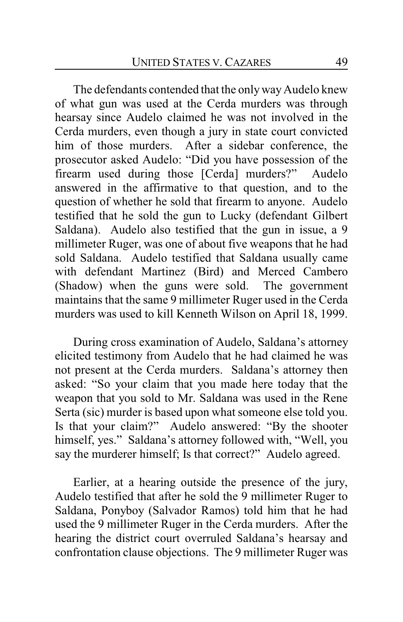The defendants contended that the only way Audelo knew of what gun was used at the Cerda murders was through hearsay since Audelo claimed he was not involved in the Cerda murders, even though a jury in state court convicted him of those murders. After a sidebar conference, the prosecutor asked Audelo: "Did you have possession of the firearm used during those [Cerda] murders?" Audelo answered in the affirmative to that question, and to the question of whether he sold that firearm to anyone. Audelo testified that he sold the gun to Lucky (defendant Gilbert Saldana). Audelo also testified that the gun in issue, a 9 millimeter Ruger, was one of about five weapons that he had sold Saldana. Audelo testified that Saldana usually came with defendant Martinez (Bird) and Merced Cambero (Shadow) when the guns were sold. The government maintains that the same 9 millimeter Ruger used in the Cerda murders was used to kill Kenneth Wilson on April 18, 1999.

During cross examination of Audelo, Saldana's attorney elicited testimony from Audelo that he had claimed he was not present at the Cerda murders. Saldana's attorney then asked: "So your claim that you made here today that the weapon that you sold to Mr. Saldana was used in the Rene Serta (sic) murder is based upon what someone else told you. Is that your claim?" Audelo answered: "By the shooter himself, yes." Saldana's attorney followed with, "Well, you say the murderer himself; Is that correct?" Audelo agreed.

Earlier, at a hearing outside the presence of the jury, Audelo testified that after he sold the 9 millimeter Ruger to Saldana, Ponyboy (Salvador Ramos) told him that he had used the 9 millimeter Ruger in the Cerda murders. After the hearing the district court overruled Saldana's hearsay and confrontation clause objections. The 9 millimeter Ruger was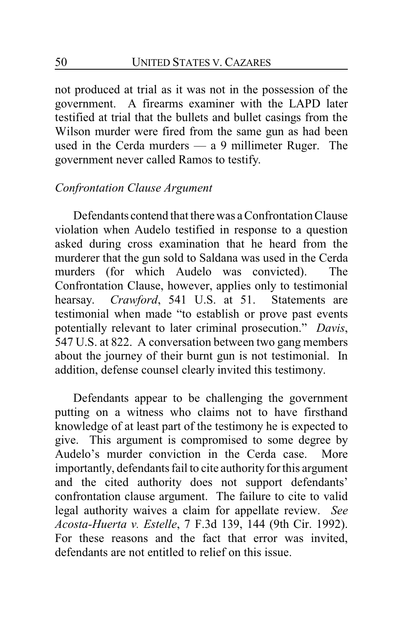not produced at trial as it was not in the possession of the government. A firearms examiner with the LAPD later testified at trial that the bullets and bullet casings from the Wilson murder were fired from the same gun as had been used in the Cerda murders — a 9 millimeter Ruger. The government never called Ramos to testify.

### *Confrontation Clause Argument*

Defendants contend that there was a Confrontation Clause violation when Audelo testified in response to a question asked during cross examination that he heard from the murderer that the gun sold to Saldana was used in the Cerda murders (for which Audelo was convicted). The Confrontation Clause, however, applies only to testimonial hearsay. *Crawford*, 541 U.S. at 51. Statements are testimonial when made "to establish or prove past events potentially relevant to later criminal prosecution." *Davis*, 547 U.S. at 822. A conversation between two gang members about the journey of their burnt gun is not testimonial. In addition, defense counsel clearly invited this testimony.

Defendants appear to be challenging the government putting on a witness who claims not to have firsthand knowledge of at least part of the testimony he is expected to give. This argument is compromised to some degree by Audelo's murder conviction in the Cerda case. More importantly, defendants fail to cite authority for this argument and the cited authority does not support defendants' confrontation clause argument. The failure to cite to valid legal authority waives a claim for appellate review. *See Acosta-Huerta v. Estelle*, 7 F.3d 139, 144 (9th Cir. 1992). For these reasons and the fact that error was invited, defendants are not entitled to relief on this issue.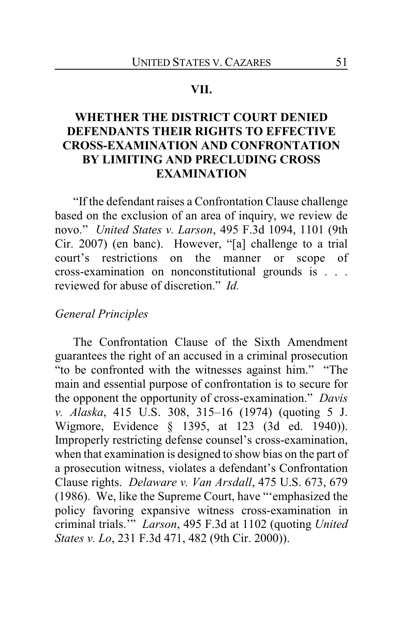#### **VII.**

## **WHETHER THE DISTRICT COURT DENIED DEFENDANTS THEIR RIGHTS TO EFFECTIVE CROSS-EXAMINATION AND CONFRONTATION BY LIMITING AND PRECLUDING CROSS EXAMINATION**

"If the defendant raises a Confrontation Clause challenge based on the exclusion of an area of inquiry, we review de novo." *United States v. Larson*, 495 F.3d 1094, 1101 (9th Cir. 2007) (en banc). However, "[a] challenge to a trial court's restrictions on the manner or scope of cross-examination on nonconstitutional grounds is . . . reviewed for abuse of discretion." *Id.*

### *General Principles*

The Confrontation Clause of the Sixth Amendment guarantees the right of an accused in a criminal prosecution "to be confronted with the witnesses against him." "The main and essential purpose of confrontation is to secure for the opponent the opportunity of cross-examination." *Davis v. Alaska*, 415 U.S. 308, 315–16 (1974) (quoting 5 J. Wigmore, Evidence § 1395, at 123 (3d ed. 1940)). Improperly restricting defense counsel's cross-examination, when that examination is designed to show bias on the part of a prosecution witness, violates a defendant's Confrontation Clause rights. *Delaware v. Van Arsdall*, 475 U.S. 673, 679 (1986). We, like the Supreme Court, have "'emphasized the policy favoring expansive witness cross-examination in criminal trials.'" *Larson*, 495 F.3d at 1102 (quoting *United States v. Lo*, 231 F.3d 471, 482 (9th Cir. 2000)).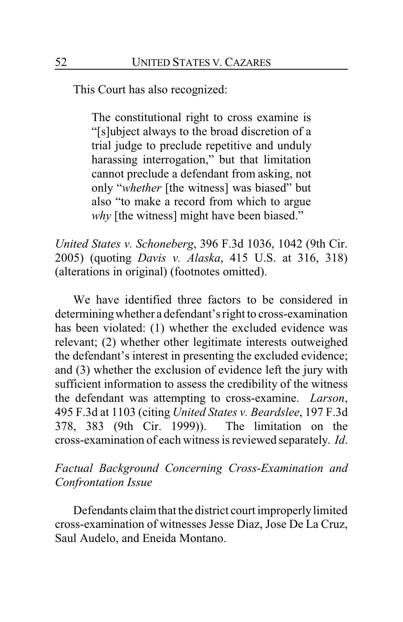This Court has also recognized:

The constitutional right to cross examine is "[s]ubject always to the broad discretion of a trial judge to preclude repetitive and unduly harassing interrogation," but that limitation cannot preclude a defendant from asking, not only "*whether* [the witness] was biased" but also "to make a record from which to argue *why* [the witness] might have been biased."

*United States v. Schoneberg*, 396 F.3d 1036, 1042 (9th Cir. 2005) (quoting *Davis v. Alaska*, 415 U.S. at 316, 318) (alterations in original) (footnotes omitted).

We have identified three factors to be considered in determiningwhether a defendant's right to cross-examination has been violated: (1) whether the excluded evidence was relevant; (2) whether other legitimate interests outweighed the defendant's interest in presenting the excluded evidence; and (3) whether the exclusion of evidence left the jury with sufficient information to assess the credibility of the witness the defendant was attempting to cross-examine. *Larson*, 495 F.3d at 1103 (citing *United States v. Beardslee*, 197 F.3d 378, 383 (9th Cir. 1999)). The limitation on the cross-examination of each witness is reviewed separately. *Id*.

## *Factual Background Concerning Cross-Examination and Confrontation Issue*

Defendants claim that the district court improperly limited cross-examination of witnesses Jesse Diaz, Jose De La Cruz, Saul Audelo, and Eneida Montano.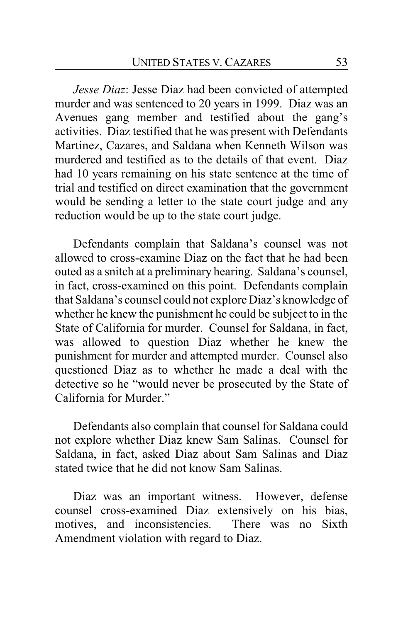*Jesse Diaz*: Jesse Diaz had been convicted of attempted murder and was sentenced to 20 years in 1999. Diaz was an Avenues gang member and testified about the gang's activities. Diaz testified that he was present with Defendants Martinez, Cazares, and Saldana when Kenneth Wilson was murdered and testified as to the details of that event. Diaz had 10 years remaining on his state sentence at the time of trial and testified on direct examination that the government would be sending a letter to the state court judge and any reduction would be up to the state court judge.

Defendants complain that Saldana's counsel was not allowed to cross-examine Diaz on the fact that he had been outed as a snitch at a preliminary hearing. Saldana's counsel, in fact, cross-examined on this point. Defendants complain that Saldana's counsel could not explore Diaz's knowledge of whether he knew the punishment he could be subject to in the State of California for murder. Counsel for Saldana, in fact, was allowed to question Diaz whether he knew the punishment for murder and attempted murder. Counsel also questioned Diaz as to whether he made a deal with the detective so he "would never be prosecuted by the State of California for Murder."

Defendants also complain that counsel for Saldana could not explore whether Diaz knew Sam Salinas. Counsel for Saldana, in fact, asked Diaz about Sam Salinas and Diaz stated twice that he did not know Sam Salinas.

Diaz was an important witness. However, defense counsel cross-examined Diaz extensively on his bias, motives, and inconsistencies. There was no Sixth Amendment violation with regard to Diaz.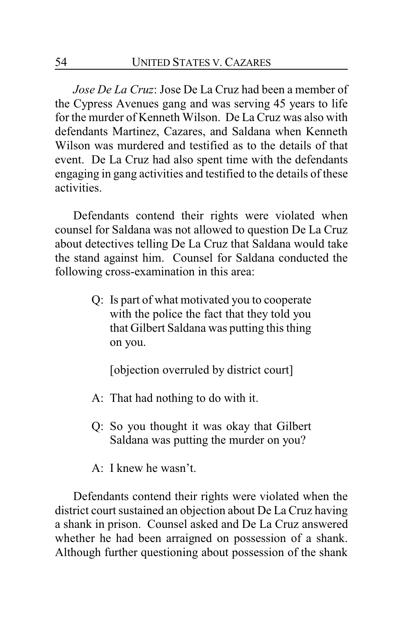*Jose De La Cruz*: Jose De La Cruz had been a member of the Cypress Avenues gang and was serving 45 years to life for the murder of Kenneth Wilson. De La Cruz was also with defendants Martinez, Cazares, and Saldana when Kenneth Wilson was murdered and testified as to the details of that event. De La Cruz had also spent time with the defendants engaging in gang activities and testified to the details of these activities.

Defendants contend their rights were violated when counsel for Saldana was not allowed to question De La Cruz about detectives telling De La Cruz that Saldana would take the stand against him. Counsel for Saldana conducted the following cross-examination in this area:

> Q: Is part of what motivated you to cooperate with the police the fact that they told you that Gilbert Saldana was putting this thing on you.

[objection overruled by district court]

- A: That had nothing to do with it.
- Q: So you thought it was okay that Gilbert Saldana was putting the murder on you?
- A: I knew he wasn't.

Defendants contend their rights were violated when the district court sustained an objection about De La Cruz having a shank in prison. Counsel asked and De La Cruz answered whether he had been arraigned on possession of a shank. Although further questioning about possession of the shank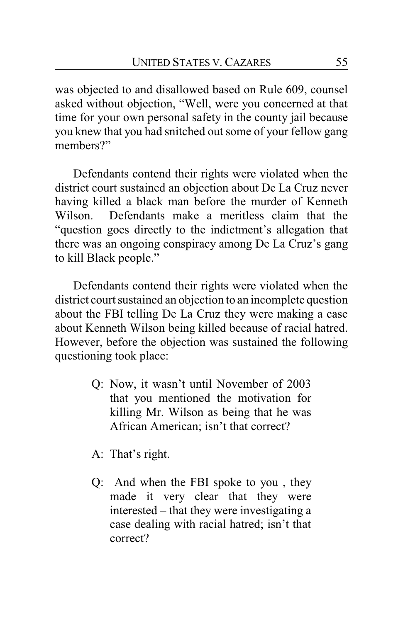was objected to and disallowed based on Rule 609, counsel asked without objection, "Well, were you concerned at that time for your own personal safety in the county jail because you knew that you had snitched out some of your fellow gang members?"

Defendants contend their rights were violated when the district court sustained an objection about De La Cruz never having killed a black man before the murder of Kenneth Wilson. Defendants make a meritless claim that the "question goes directly to the indictment's allegation that there was an ongoing conspiracy among De La Cruz's gang to kill Black people."

Defendants contend their rights were violated when the district court sustained an objection to an incomplete question about the FBI telling De La Cruz they were making a case about Kenneth Wilson being killed because of racial hatred. However, before the objection was sustained the following questioning took place:

> Q: Now, it wasn't until November of 2003 that you mentioned the motivation for killing Mr. Wilson as being that he was African American; isn't that correct?

A: That's right.

Q: And when the FBI spoke to you , they made it very clear that they were interested – that they were investigating a case dealing with racial hatred; isn't that correct?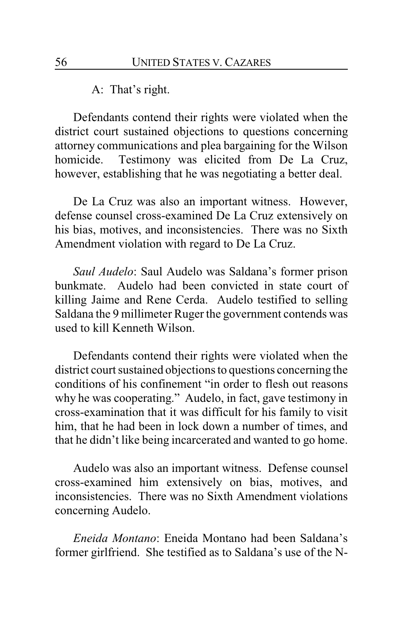A: That's right.

Defendants contend their rights were violated when the district court sustained objections to questions concerning attorney communications and plea bargaining for the Wilson homicide. Testimony was elicited from De La Cruz, however, establishing that he was negotiating a better deal.

De La Cruz was also an important witness. However, defense counsel cross-examined De La Cruz extensively on his bias, motives, and inconsistencies. There was no Sixth Amendment violation with regard to De La Cruz.

*Saul Audelo*: Saul Audelo was Saldana's former prison bunkmate. Audelo had been convicted in state court of killing Jaime and Rene Cerda. Audelo testified to selling Saldana the 9 millimeter Ruger the government contends was used to kill Kenneth Wilson.

Defendants contend their rights were violated when the district court sustained objections to questions concerning the conditions of his confinement "in order to flesh out reasons why he was cooperating." Audelo, in fact, gave testimony in cross-examination that it was difficult for his family to visit him, that he had been in lock down a number of times, and that he didn't like being incarcerated and wanted to go home.

Audelo was also an important witness. Defense counsel cross-examined him extensively on bias, motives, and inconsistencies. There was no Sixth Amendment violations concerning Audelo.

*Eneida Montano*: Eneida Montano had been Saldana's former girlfriend. She testified as to Saldana's use of the N-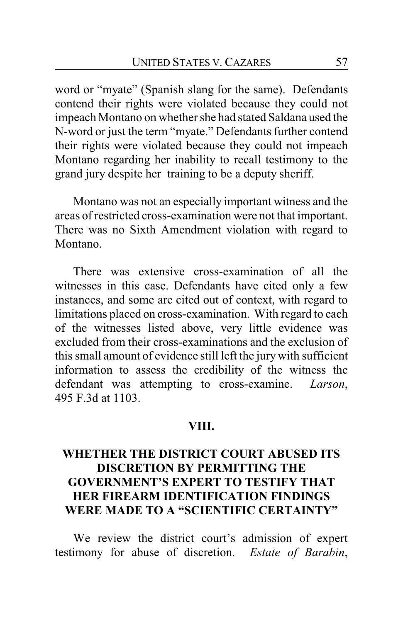word or "myate" (Spanish slang for the same). Defendants contend their rights were violated because they could not impeach Montano on whether she had stated Saldana used the N-word or just the term "myate." Defendants further contend their rights were violated because they could not impeach Montano regarding her inability to recall testimony to the grand jury despite her training to be a deputy sheriff.

Montano was not an especially important witness and the areas of restricted cross-examination were not that important. There was no Sixth Amendment violation with regard to Montano.

There was extensive cross-examination of all the witnesses in this case. Defendants have cited only a few instances, and some are cited out of context, with regard to limitations placed on cross-examination. With regard to each of the witnesses listed above, very little evidence was excluded from their cross-examinations and the exclusion of this small amount of evidence still left the jury with sufficient information to assess the credibility of the witness the defendant was attempting to cross-examine. *Larson*, 495 F.3d at 1103.

#### **VIII.**

## **WHETHER THE DISTRICT COURT ABUSED ITS DISCRETION BY PERMITTING THE GOVERNMENT'S EXPERT TO TESTIFY THAT HER FIREARM IDENTIFICATION FINDINGS WERE MADE TO A "SCIENTIFIC CERTAINTY"**

We review the district court's admission of expert testimony for abuse of discretion. *Estate of Barabin*,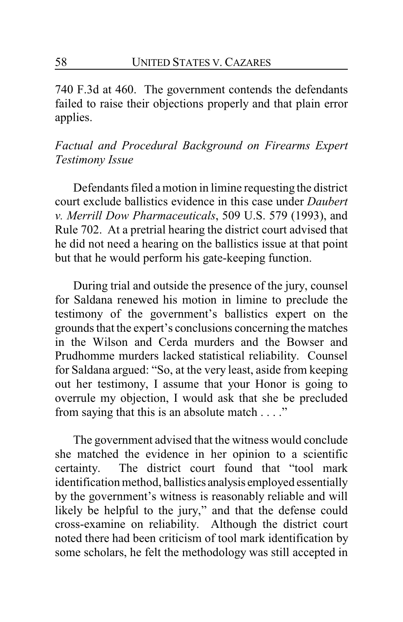740 F.3d at 460. The government contends the defendants failed to raise their objections properly and that plain error applies.

## *Factual and Procedural Background on Firearms Expert Testimony Issue*

Defendants filed a motion in limine requesting the district court exclude ballistics evidence in this case under *Daubert v. Merrill Dow Pharmaceuticals*, 509 U.S. 579 (1993), and Rule 702. At a pretrial hearing the district court advised that he did not need a hearing on the ballistics issue at that point but that he would perform his gate-keeping function.

During trial and outside the presence of the jury, counsel for Saldana renewed his motion in limine to preclude the testimony of the government's ballistics expert on the grounds that the expert's conclusions concerning the matches in the Wilson and Cerda murders and the Bowser and Prudhomme murders lacked statistical reliability. Counsel for Saldana argued: "So, at the very least, aside from keeping out her testimony, I assume that your Honor is going to overrule my objection, I would ask that she be precluded from saying that this is an absolute match . . . ."

The government advised that the witness would conclude she matched the evidence in her opinion to a scientific certainty. The district court found that "tool mark identification method, ballistics analysis employed essentially by the government's witness is reasonably reliable and will likely be helpful to the jury," and that the defense could cross-examine on reliability. Although the district court noted there had been criticism of tool mark identification by some scholars, he felt the methodology was still accepted in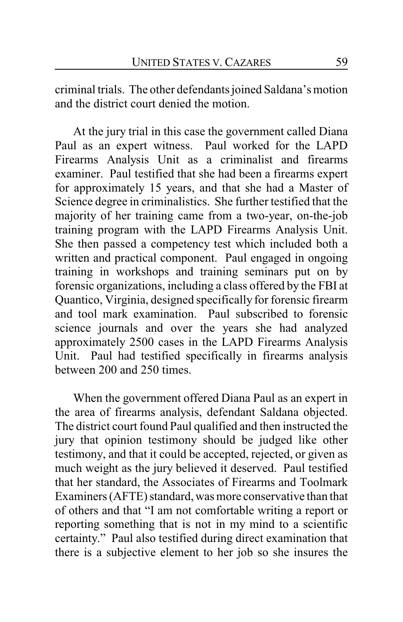criminal trials. The other defendants joined Saldana's motion and the district court denied the motion.

At the jury trial in this case the government called Diana Paul as an expert witness. Paul worked for the LAPD Firearms Analysis Unit as a criminalist and firearms examiner. Paul testified that she had been a firearms expert for approximately 15 years, and that she had a Master of Science degree in criminalistics. She further testified that the majority of her training came from a two-year, on-the-job training program with the LAPD Firearms Analysis Unit. She then passed a competency test which included both a written and practical component. Paul engaged in ongoing training in workshops and training seminars put on by forensic organizations, including a class offered by the FBI at Quantico, Virginia, designed specifically for forensic firearm and tool mark examination. Paul subscribed to forensic science journals and over the years she had analyzed approximately 2500 cases in the LAPD Firearms Analysis Unit. Paul had testified specifically in firearms analysis between 200 and 250 times.

When the government offered Diana Paul as an expert in the area of firearms analysis, defendant Saldana objected. The district court found Paul qualified and then instructed the jury that opinion testimony should be judged like other testimony, and that it could be accepted, rejected, or given as much weight as the jury believed it deserved. Paul testified that her standard, the Associates of Firearms and Toolmark Examiners (AFTE) standard, was more conservative than that of others and that "I am not comfortable writing a report or reporting something that is not in my mind to a scientific certainty." Paul also testified during direct examination that there is a subjective element to her job so she insures the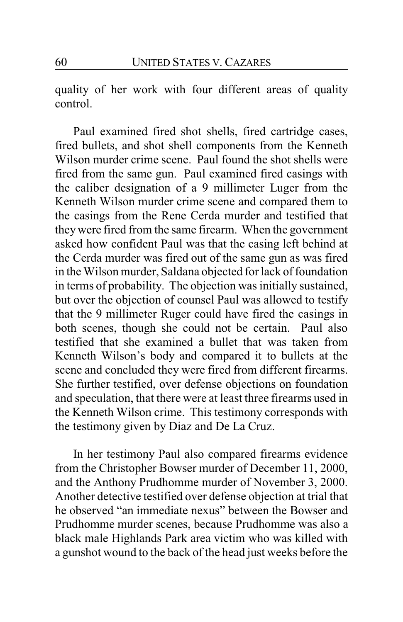quality of her work with four different areas of quality control.

Paul examined fired shot shells, fired cartridge cases, fired bullets, and shot shell components from the Kenneth Wilson murder crime scene. Paul found the shot shells were fired from the same gun. Paul examined fired casings with the caliber designation of a 9 millimeter Luger from the Kenneth Wilson murder crime scene and compared them to the casings from the Rene Cerda murder and testified that theywere fired from the same firearm. When the government asked how confident Paul was that the casing left behind at the Cerda murder was fired out of the same gun as was fired in the Wilson murder, Saldana objected for lack of foundation in terms of probability. The objection was initially sustained, but over the objection of counsel Paul was allowed to testify that the 9 millimeter Ruger could have fired the casings in both scenes, though she could not be certain. Paul also testified that she examined a bullet that was taken from Kenneth Wilson's body and compared it to bullets at the scene and concluded they were fired from different firearms. She further testified, over defense objections on foundation and speculation, that there were at least three firearms used in the Kenneth Wilson crime. This testimony corresponds with the testimony given by Diaz and De La Cruz.

In her testimony Paul also compared firearms evidence from the Christopher Bowser murder of December 11, 2000, and the Anthony Prudhomme murder of November 3, 2000. Another detective testified over defense objection at trial that he observed "an immediate nexus" between the Bowser and Prudhomme murder scenes, because Prudhomme was also a black male Highlands Park area victim who was killed with a gunshot wound to the back of the head just weeks before the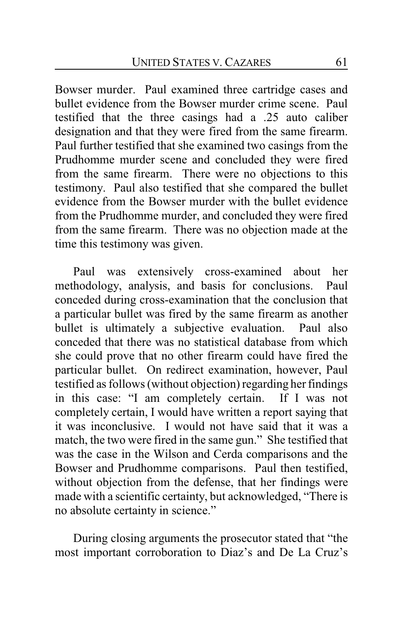Bowser murder. Paul examined three cartridge cases and bullet evidence from the Bowser murder crime scene. Paul testified that the three casings had a .25 auto caliber designation and that they were fired from the same firearm. Paul further testified that she examined two casings from the Prudhomme murder scene and concluded they were fired from the same firearm. There were no objections to this testimony. Paul also testified that she compared the bullet evidence from the Bowser murder with the bullet evidence from the Prudhomme murder, and concluded they were fired from the same firearm. There was no objection made at the time this testimony was given.

Paul was extensively cross-examined about her methodology, analysis, and basis for conclusions. Paul conceded during cross-examination that the conclusion that a particular bullet was fired by the same firearm as another bullet is ultimately a subjective evaluation. Paul also conceded that there was no statistical database from which she could prove that no other firearm could have fired the particular bullet. On redirect examination, however, Paul testified as follows (without objection) regarding her findings in this case: "I am completely certain. If I was not completely certain, I would have written a report saying that it was inconclusive. I would not have said that it was a match, the two were fired in the same gun." She testified that was the case in the Wilson and Cerda comparisons and the Bowser and Prudhomme comparisons. Paul then testified, without objection from the defense, that her findings were made with a scientific certainty, but acknowledged, "There is no absolute certainty in science."

During closing arguments the prosecutor stated that "the most important corroboration to Diaz's and De La Cruz's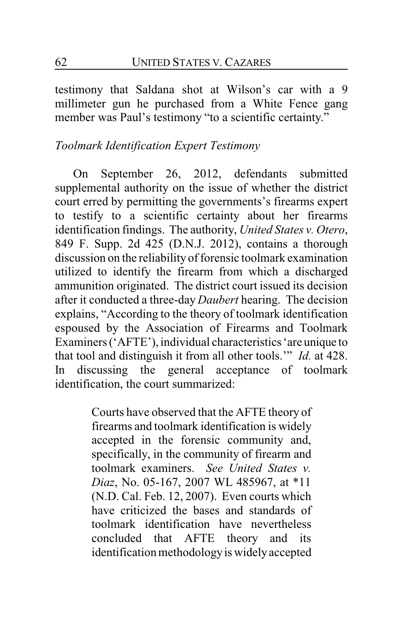testimony that Saldana shot at Wilson's car with a 9 millimeter gun he purchased from a White Fence gang member was Paul's testimony "to a scientific certainty."

## *Toolmark Identification Expert Testimony*

On September 26, 2012, defendants submitted supplemental authority on the issue of whether the district court erred by permitting the governments's firearms expert to testify to a scientific certainty about her firearms identification findings. The authority, *United States v. Otero*, 849 F. Supp. 2d 425 (D.N.J. 2012), contains a thorough discussion on the reliability of forensic toolmark examination utilized to identify the firearm from which a discharged ammunition originated. The district court issued its decision after it conducted a three-day *Daubert* hearing. The decision explains, "According to the theory of toolmark identification espoused by the Association of Firearms and Toolmark Examiners ('AFTE'), individual characteristics 'are unique to that tool and distinguish it from all other tools.'" *Id.* at 428. In discussing the general acceptance of toolmark identification, the court summarized:

> Courts have observed that the AFTE theory of firearms and toolmark identification is widely accepted in the forensic community and, specifically, in the community of firearm and toolmark examiners. *See United States v. Diaz*, No. 05-167, 2007 WL 485967, at \*11 (N.D. Cal. Feb. 12, 2007). Even courts which have criticized the bases and standards of toolmark identification have nevertheless concluded that AFTE theory and its identification methodologyis widelyaccepted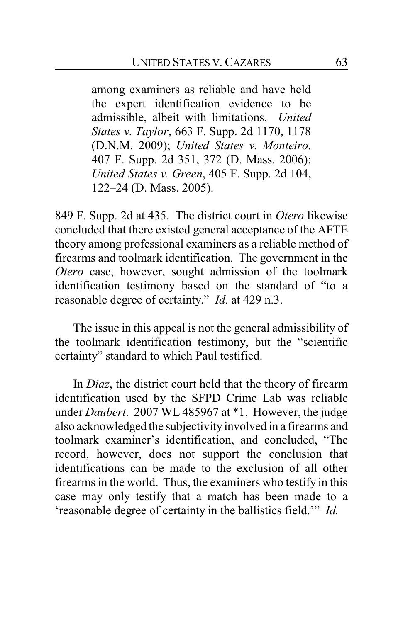among examiners as reliable and have held the expert identification evidence to be admissible, albeit with limitations. *United States v. Taylor*, 663 F. Supp. 2d 1170, 1178 (D.N.M. 2009); *United States v. Monteiro*, 407 F. Supp. 2d 351, 372 (D. Mass. 2006); *United States v. Green*, 405 F. Supp. 2d 104, 122–24 (D. Mass. 2005).

849 F. Supp. 2d at 435. The district court in *Otero* likewise concluded that there existed general acceptance of the AFTE theory among professional examiners as a reliable method of firearms and toolmark identification. The government in the *Otero* case, however, sought admission of the toolmark identification testimony based on the standard of "to a reasonable degree of certainty." *Id.* at 429 n.3.

The issue in this appeal is not the general admissibility of the toolmark identification testimony, but the "scientific certainty" standard to which Paul testified.

In *Diaz*, the district court held that the theory of firearm identification used by the SFPD Crime Lab was reliable under *Daubert*. 2007 WL 485967 at \*1. However, the judge also acknowledged the subjectivity involved in a firearms and toolmark examiner's identification, and concluded, "The record, however, does not support the conclusion that identifications can be made to the exclusion of all other firearms in the world. Thus, the examiners who testify in this case may only testify that a match has been made to a 'reasonable degree of certainty in the ballistics field.'" *Id.*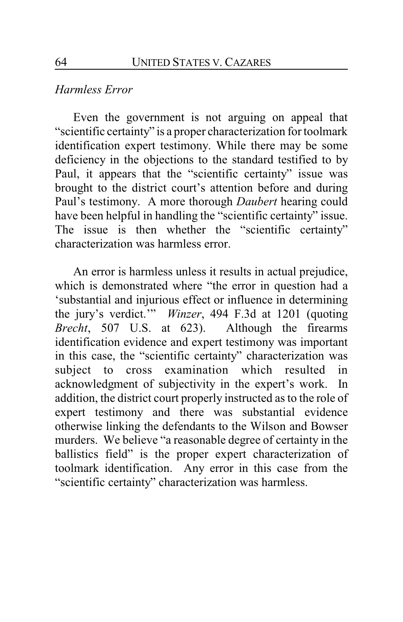#### *Harmless Error*

Even the government is not arguing on appeal that "scientific certainty" is a proper characterization for toolmark identification expert testimony. While there may be some deficiency in the objections to the standard testified to by Paul, it appears that the "scientific certainty" issue was brought to the district court's attention before and during Paul's testimony. A more thorough *Daubert* hearing could have been helpful in handling the "scientific certainty" issue. The issue is then whether the "scientific certainty" characterization was harmless error.

An error is harmless unless it results in actual prejudice, which is demonstrated where "the error in question had a 'substantial and injurious effect or influence in determining the jury's verdict.'" *Winzer*, 494 F.3d at 1201 (quoting *Brecht*, 507 U.S. at 623). Although the firearms identification evidence and expert testimony was important in this case, the "scientific certainty" characterization was subject to cross examination which resulted in acknowledgment of subjectivity in the expert's work. In addition, the district court properly instructed as to the role of expert testimony and there was substantial evidence otherwise linking the defendants to the Wilson and Bowser murders. We believe "a reasonable degree of certainty in the ballistics field" is the proper expert characterization of toolmark identification. Any error in this case from the "scientific certainty" characterization was harmless.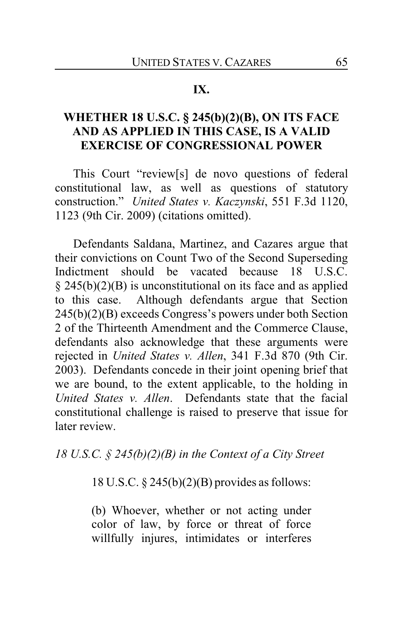#### **IX.**

## **WHETHER 18 U.S.C. § 245(b)(2)(B), ON ITS FACE AND AS APPLIED IN THIS CASE, IS A VALID EXERCISE OF CONGRESSIONAL POWER**

This Court "review[s] de novo questions of federal constitutional law, as well as questions of statutory construction." *United States v. Kaczynski*, 551 F.3d 1120, 1123 (9th Cir. 2009) (citations omitted).

Defendants Saldana, Martinez, and Cazares argue that their convictions on Count Two of the Second Superseding Indictment should be vacated because 18 U.S.C. § 245(b)(2)(B) is unconstitutional on its face and as applied to this case. Although defendants argue that Section 245(b)(2)(B) exceeds Congress's powers under both Section 2 of the Thirteenth Amendment and the Commerce Clause, defendants also acknowledge that these arguments were rejected in *United States v. Allen*, 341 F.3d 870 (9th Cir. 2003). Defendants concede in their joint opening brief that we are bound, to the extent applicable, to the holding in *United States v. Allen*. Defendants state that the facial constitutional challenge is raised to preserve that issue for later review.

*18 U.S.C. § 245(b)(2)(B) in the Context of a City Street*

18 U.S.C. § 245(b)(2)(B) provides as follows:

(b) Whoever, whether or not acting under color of law, by force or threat of force willfully injures, intimidates or interferes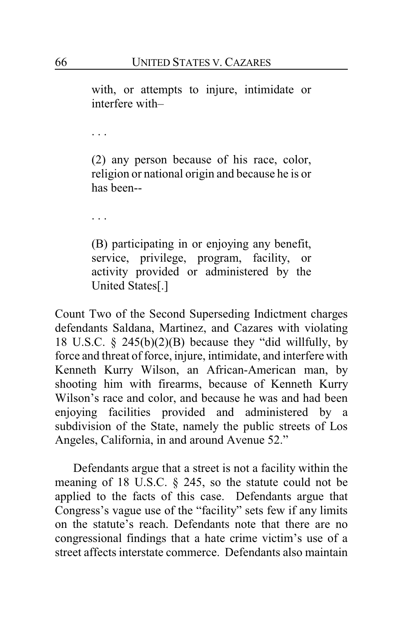with, or attempts to injure, intimidate or interfere with–

. . .

(2) any person because of his race, color, religion or national origin and because he is or has been--

. . .

(B) participating in or enjoying any benefit, service, privilege, program, facility, or activity provided or administered by the United States[.]

Count Two of the Second Superseding Indictment charges defendants Saldana, Martinez, and Cazares with violating 18 U.S.C.  $\S$  245(b)(2)(B) because they "did willfully, by force and threat of force, injure, intimidate, and interfere with Kenneth Kurry Wilson, an African-American man, by shooting him with firearms, because of Kenneth Kurry Wilson's race and color, and because he was and had been enjoying facilities provided and administered by a subdivision of the State, namely the public streets of Los Angeles, California, in and around Avenue 52."

Defendants argue that a street is not a facility within the meaning of 18 U.S.C. § 245, so the statute could not be applied to the facts of this case. Defendants argue that Congress's vague use of the "facility" sets few if any limits on the statute's reach. Defendants note that there are no congressional findings that a hate crime victim's use of a street affects interstate commerce. Defendants also maintain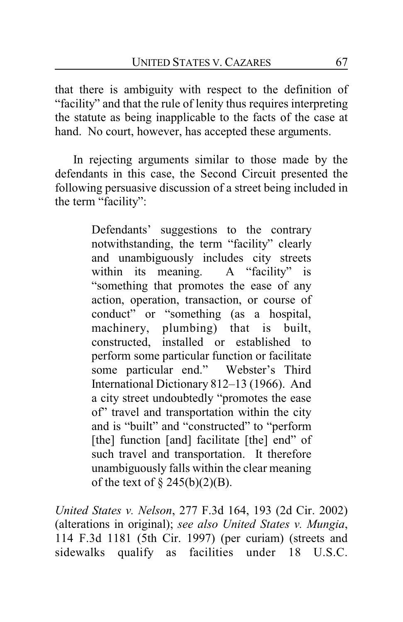that there is ambiguity with respect to the definition of "facility" and that the rule of lenity thus requires interpreting the statute as being inapplicable to the facts of the case at hand. No court, however, has accepted these arguments.

In rejecting arguments similar to those made by the defendants in this case, the Second Circuit presented the following persuasive discussion of a street being included in the term "facility":

> Defendants' suggestions to the contrary notwithstanding, the term "facility" clearly and unambiguously includes city streets<br>within its meaning. A "facility" is within its meaning. "something that promotes the ease of any action, operation, transaction, or course of conduct" or "something (as a hospital, machinery, plumbing) that is built, constructed, installed or established to perform some particular function or facilitate some particular end." Webster's Third International Dictionary 812–13 (1966). And a city street undoubtedly "promotes the ease of" travel and transportation within the city and is "built" and "constructed" to "perform [the] function [and] facilitate [the] end" of such travel and transportation. It therefore unambiguously falls within the clear meaning of the text of  $\S$  245(b)(2)(B).

*United States v. Nelson*, 277 F.3d 164, 193 (2d Cir. 2002) (alterations in original); *see also United States v. Mungia*, 114 F.3d 1181 (5th Cir. 1997) (per curiam) (streets and sidewalks qualify as facilities under 18 U.S.C.